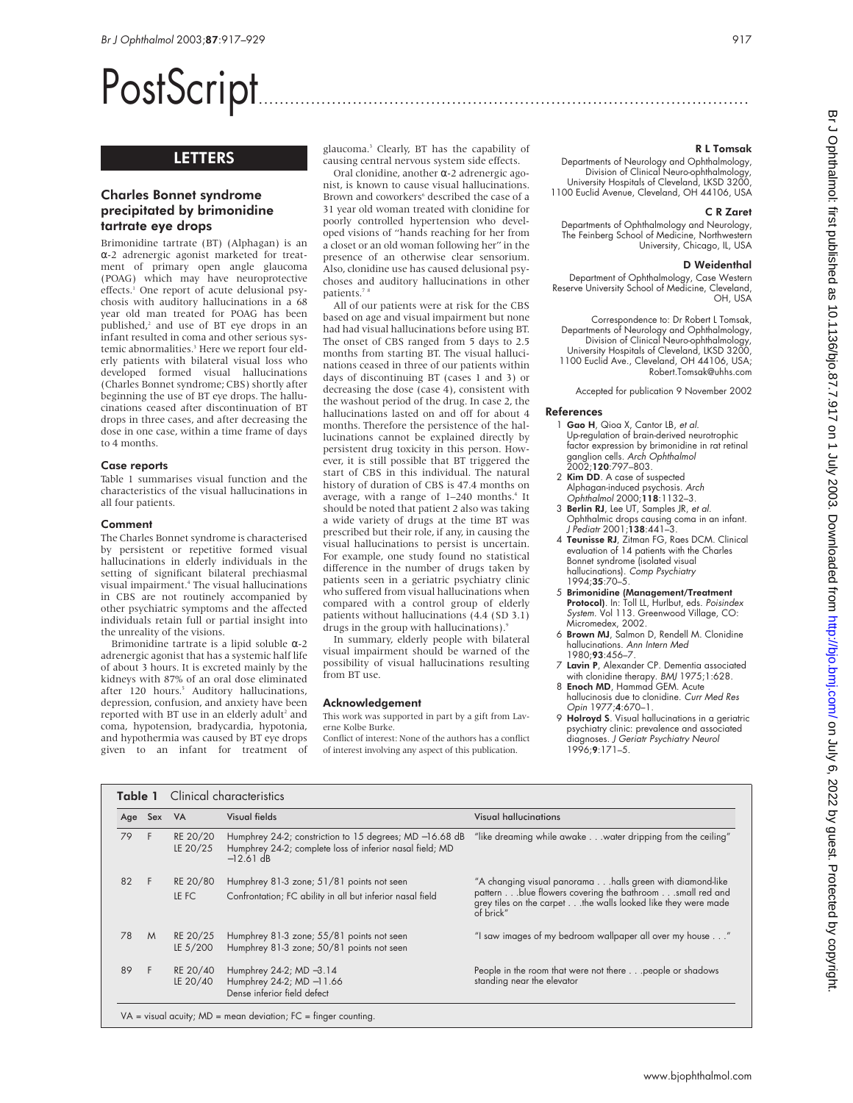# PostScript..............................................................................................

## LETTERS

## Charles Bonnet syndrome precipitated by brimonidine tartrate eye drops

Brimonidine tartrate (BT) (Alphagan) is an α-2 adrenergic agonist marketed for treatment of primary open angle glaucoma (POAG) which may have neuroprotective effects.<sup>1</sup> One report of acute delusional psychosis with auditory hallucinations in a 68 year old man treated for POAG has been published, $2$  and use of BT eye drops in an infant resulted in coma and other serious systemic abnormalities.<sup>3</sup> Here we report four elderly patients with bilateral visual loss who developed formed visual hallucinations (Charles Bonnet syndrome; CBS) shortly after beginning the use of BT eye drops. The hallucinations ceased after discontinuation of BT drops in three cases, and after decreasing the dose in one case, within a time frame of days to 4 months.

#### Case reports

Table 1 summarises visual function and the characteristics of the visual hallucinations in all four patients.

#### Comment

The Charles Bonnet syndrome is characterised by persistent or repetitive formed visual hallucinations in elderly individuals in the setting of significant bilateral prechiasmal visual impairment.4 The visual hallucinations in CBS are not routinely accompanied by other psychiatric symptoms and the affected individuals retain full or partial insight into the unreality of the visions.

Brimonidine tartrate is a lipid soluble  $\alpha$ -2 adrenergic agonist that has a systemic half life of about 3 hours. It is excreted mainly by the kidneys with 87% of an oral dose eliminated after 120 hours.<sup>5</sup> Auditory hallucinations, depression, confusion, and anxiety have been reported with BT use in an elderly adult<sup>2</sup> and coma, hypotension, bradycardia, hypotonia, and hypothermia was caused by BT eye drops given to an infant for treatment of

glaucoma.3 Clearly, BT has the capability of causing central nervous system side effects.

Oral clonidine, another α-2 adrenergic agonist, is known to cause visual hallucinations. Brown and coworkers<sup>6</sup> described the case of a 31 year old woman treated with clonidine for poorly controlled hypertension who developed visions of "hands reaching for her from a closet or an old woman following her" in the presence of an otherwise clear sensorium. Also, clonidine use has caused delusional psychoses and auditory hallucinations in other patients.<sup>7</sup>

All of our patients were at risk for the CBS based on age and visual impairment but none had had visual hallucinations before using BT. The onset of CBS ranged from 5 days to 2.5 months from starting BT. The visual hallucinations ceased in three of our patients within days of discontinuing BT (cases 1 and 3) or decreasing the dose (case 4), consistent with the washout period of the drug. In case 2, the hallucinations lasted on and off for about 4 months. Therefore the persistence of the hallucinations cannot be explained directly by persistent drug toxicity in this person. However, it is still possible that BT triggered the start of CBS in this individual. The natural history of duration of CBS is 47.4 months on average, with a range of  $1-240$  months.<sup>4</sup> It should be noted that patient 2 also was taking a wide variety of drugs at the time BT was prescribed but their role, if any, in causing the visual hallucinations to persist is uncertain. For example, one study found no statistical difference in the number of drugs taken by patients seen in a geriatric psychiatry clinic who suffered from visual hallucinations when compared with a control group of elderly patients without hallucinations (4.4 (SD 3.1) drugs in the group with hallucinations).

In summary, elderly people with bilateral visual impairment should be warned of the possibility of visual hallucinations resulting from BT use.

#### Acknowledgement

This work was supported in part by a gift from Laverne Kolbe Burke.

Conflict of interest: None of the authors has a conflict of interest involving any aspect of this publication.

#### R L Tomsak

Departments of Neurology and Ophthalmology, Division of Clinical Neuro-ophthalmology, University Hospitals of Cleveland, LKSD 3200, 1100 Euclid Avenue, Cleveland, OH 44106, USA

#### C R Zaret

Departments of Ophthalmology and Neurology, The Feinberg School of Medicine, Northwestern University, Chicago, IL, USA

#### D Weidenthal

Department of Ophthalmology, Case Western Reserve University School of Medicine, Cleveland, OH, USA

Correspondence to: Dr Robert L Tomsak, Departments of Neurology and Ophthalmology, Division of Clinical Neuro-ophthalmology, University Hospitals of Cleveland, LKSD 3200, 1100 Euclid Ave., Cleveland, OH 44106, USA; Robert.Tomsak@uhhs.com

Accepted for publication 9 November 2002

#### References

- 1 Gao H, Qioa X, Cantor LB, et al. Up-regulation of brain-derived neurotrophic factor expression by brimonidine in rat retinal ganglion cells. Arch Ophthalmol 2002;120:797–803.
- 2 Kim DD. A case of suspected Alphagan-induced psychosis. Arch Ophthalmol 2000;118:1132–3.
- 3 Berlin RJ, Lee UT, Samples JR, et al. Ophthalmic drops causing coma in an infant. J Pediatr 2001;138:441–3.
- 4 Teunisse RJ, Zitman FG, Raes DCM. Clinical evaluation of 14 patients with the Charles Bonnet syndrome (isolated visual hallucinations). Comp Psychiatry 1994;35:70–5.
- 5 Brimonidine (Management/Treatment Protocol). In: Toll LL, Hurlbut, eds. Poisindex System. Vol 113. Greenwood Village, CO: Micromedex, 2002.
- 6 Brown MJ, Salmon D, Rendell M. Clonidine hallucinations. Ann Intern Med 1980;93:456–7.
- 7 Lavin P, Alexander CP. Dementia associated
- with clonidine therapy. BMJ 1975;1:628. 8 **Enoch MD**, Hammad GEM. Acute hallucinosis due to clonidine. Curr Med Res
- Opin 1977;4:670–1.<br>9 **Holroyd S**. Visual hallucinations in a geriatric psychiatry clinic: prevalence and associated diagnoses. J Geriatr Psychiatry Neurol 1996;9:171–5.

|    | Clinical characteristics<br>Table 1 |                      |                                                                                                                                    |                                                                                                                                                                                                    |  |  |
|----|-------------------------------------|----------------------|------------------------------------------------------------------------------------------------------------------------------------|----------------------------------------------------------------------------------------------------------------------------------------------------------------------------------------------------|--|--|
|    | Age Sex                             | <b>VA</b>            | Visual fields                                                                                                                      | Visual hallucinations                                                                                                                                                                              |  |  |
| 79 | F                                   | RE 20/20<br>LE 20/25 | Humphrey 24-2; constriction to 15 degrees; MD -16.68 dB<br>Humphrey 24-2; complete loss of inferior nasal field; MD<br>$-12.61$ dB | "like dreaming while awake water dripping from the ceiling"                                                                                                                                        |  |  |
| 82 |                                     | RE 20/80<br>LE FC    | Humphrey 81-3 zone; 51/81 points not seen<br>Confrontation; FC ability in all but inferior nasal field                             | "A changing visual panorama halls green with diamond-like<br>patternblue flowers covering the bathroom small red and<br>grey tiles on the carpet the walls looked like they were made<br>of brick" |  |  |
| 78 | M                                   | RE 20/25<br>LE 5/200 | Humphrey 81-3 zone; 55/81 points not seen<br>Humphrey 81-3 zone; 50/81 points not seen                                             | "I saw images of my bedroom wallpaper all over my house"                                                                                                                                           |  |  |
| 89 |                                     | RE 20/40<br>LE 20/40 | Humphrey 24-2; MD -3.14<br>Humphrey 24-2; MD-11.66<br>Dense inferior field defect                                                  | People in the room that were not there people or shadows<br>standing near the elevator                                                                                                             |  |  |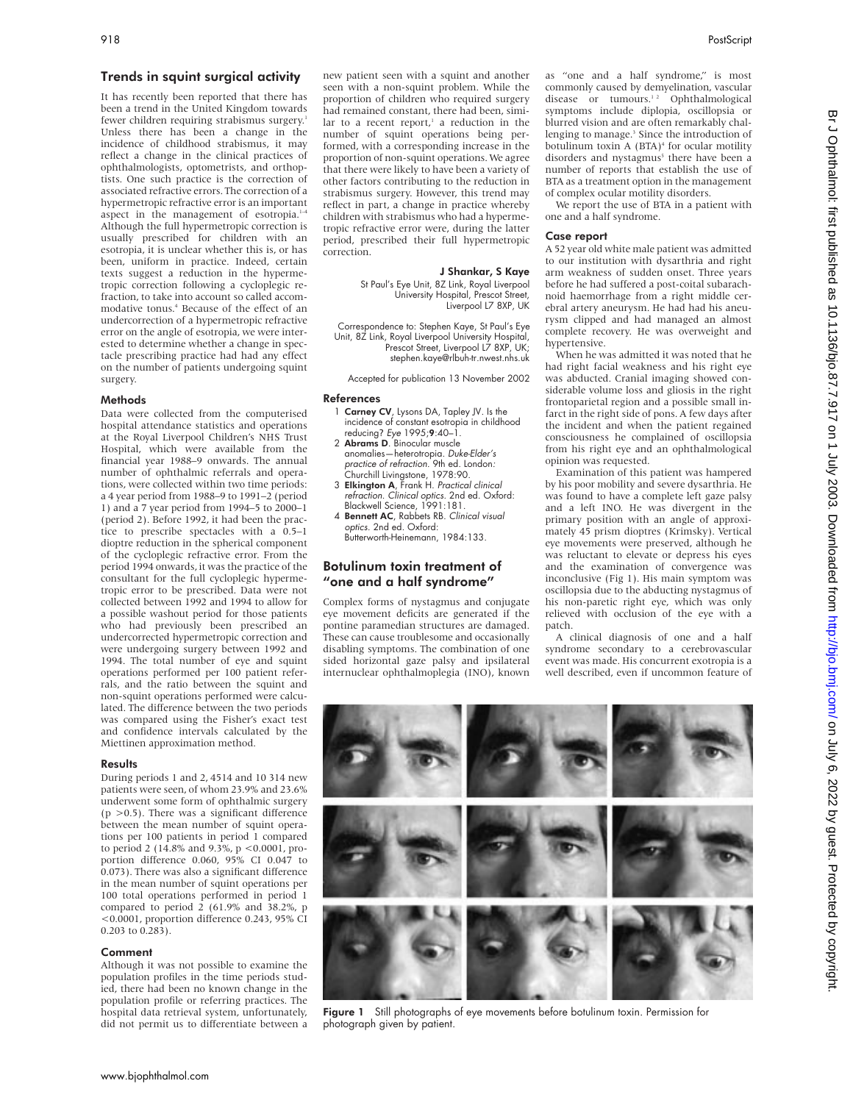## Trends in squint surgical activity

It has recently been reported that there has been a trend in the United Kingdom towards fewer children requiring strabismus surgery.<sup>1</sup> Unless there has been a change in the incidence of childhood strabismus, it may reflect a change in the clinical practices of ophthalmologists, optometrists, and orthoptists. One such practice is the correction of associated refractive errors. The correction of a hypermetropic refractive error is an important aspect in the management of esotropia.<sup>1-4</sup> Although the full hypermetropic correction is usually prescribed for children with an esotropia, it is unclear whether this is, or has been, uniform in practice. Indeed, certain texts suggest a reduction in the hypermetropic correction following a cycloplegic refraction, to take into account so called accommodative tonus.<sup>4</sup> Because of the effect of an undercorrection of a hypermetropic refractive error on the angle of esotropia, we were interested to determine whether a change in spectacle prescribing practice had had any effect on the number of patients undergoing squint surgery.

#### Methods

Data were collected from the computerised hospital attendance statistics and operations at the Royal Liverpool Children's NHS Trust Hospital, which were available from the financial year 1988–9 onwards. The annual number of ophthalmic referrals and operations, were collected within two time periods: a 4 year period from 1988–9 to 1991–2 (period 1) and a 7 year period from 1994–5 to 2000–1 (period 2). Before 1992, it had been the practice to prescribe spectacles with a 0.5–1 dioptre reduction in the spherical component of the cycloplegic refractive error. From the period 1994 onwards, it was the practice of the consultant for the full cycloplegic hypermetropic error to be prescribed. Data were not collected between 1992 and 1994 to allow for a possible washout period for those patients who had previously been prescribed an undercorrected hypermetropic correction and were undergoing surgery between 1992 and 1994. The total number of eye and squint operations performed per 100 patient referrals, and the ratio between the squint and non-squint operations performed were calculated. The difference between the two periods was compared using the Fisher's exact test and confidence intervals calculated by the Miettinen approximation method.

#### **Results**

During periods 1 and 2, 4514 and 10 314 new patients were seen, of whom 23.9% and 23.6% underwent some form of ophthalmic surgery  $(p > 0.5)$ . There was a significant difference between the mean number of squint operations per 100 patients in period 1 compared to period 2 (14.8% and 9.3%, p <0.0001, proportion difference 0.060, 95% CI 0.047 to 0.073). There was also a significant difference in the mean number of squint operations per 100 total operations performed in period 1 compared to period 2 (61.9% and 38.2%, p <0.0001, proportion difference 0.243, 95% CI 0.203 to 0.283).

#### Comment

Although it was not possible to examine the population profiles in the time periods studied, there had been no known change in the population profile or referring practices. The hospital data retrieval system, unfortunately, did not permit us to differentiate between a

new patient seen with a squint and another seen with a non-squint problem. While the proportion of children who required surgery had remained constant, there had been, similar to a recent report, $1$  a reduction in the number of squint operations being performed, with a corresponding increase in the proportion of non-squint operations. We agree that there were likely to have been a variety of other factors contributing to the reduction in strabismus surgery. However, this trend may reflect in part, a change in practice whereby children with strabismus who had a hypermetropic refractive error were, during the latter period, prescribed their full hypermetropic correction.

#### J Shankar, S Kaye

St Paul's Eye Unit, 8Z Link, Royal Liverpool University Hospital, Prescot Street Liverpool L7 8XP, UK

Correspondence to: Stephen Kaye, St Paul's Eye Unit, 8Z Link, Royal Liverpool University Hospital, Prescot Street, Liverpool L7 8XP, UK; stephen.kaye@rlbuh-tr.nwest.nhs.uk

Accepted for publication 13 November 2002

#### References

- 1 Carney CV, Lysons DA, Tapley JV. Is the incidence of constant esotropia in childhood reducing? Eye 1995;9:40–1.
- 2 Abrams D. Binocular muscle anomalies—heterotropia. Duke-Elder's practice of refraction. 9th ed. London: Churchill Livingstone, 1978:90.
- 3 Elkington A, Frank H. Practical clinical refraction. Clinical optics. 2nd ed. Oxford: Blackwell Science, 1991:181.
- 4 Bennett AC, Rabbets RB. Clinical visual optics. 2nd ed. Oxford: Butterworth-Heinemann, 1984:133.

## Botulinum toxin treatment of "one and a half syndrome"

Complex forms of nystagmus and conjugate eye movement deficits are generated if the pontine paramedian structures are damaged. These can cause troublesome and occasionally disabling symptoms. The combination of one sided horizontal gaze palsy and ipsilateral internuclear ophthalmoplegia (INO), known as "one and a half syndrome," is most commonly caused by demyelination, vascular disease or tumours.<sup>12</sup> Ophthalmological symptoms include diplopia, oscillopsia or blurred vision and are often remarkably challenging to manage.<sup>3</sup> Since the introduction of botulinum toxin A (BTA)<sup>4</sup> for ocular motility disorders and nystagmus<sup>5</sup> there have been a number of reports that establish the use of BTA as a treatment option in the management of complex ocular motility disorders.

We report the use of BTA in a patient with one and a half syndrome.

#### Case report

A 52 year old white male patient was admitted to our institution with dysarthria and right arm weakness of sudden onset. Three years before he had suffered a post-coital subarachnoid haemorrhage from a right middle cerebral artery aneurysm. He had had his aneurysm clipped and had managed an almost complete recovery. He was overweight and hypertensive.

When he was admitted it was noted that he had right facial weakness and his right eye was abducted. Cranial imaging showed considerable volume loss and gliosis in the right frontoparietal region and a possible small infarct in the right side of pons. A few days after the incident and when the patient regained consciousness he complained of oscillopsia from his right eye and an ophthalmological opinion was requested.

Examination of this patient was hampered by his poor mobility and severe dysarthria. He was found to have a complete left gaze palsy and a left INO. He was divergent in the primary position with an angle of approximately 45 prism dioptres (Krimsky). Vertical eye movements were preserved, although he was reluctant to elevate or depress his eyes and the examination of convergence was inconclusive (Fig 1). His main symptom was oscillopsia due to the abducting nystagmus of his non-paretic right eye, which was only relieved with occlusion of the eye with a patch.

A clinical diagnosis of one and a half syndrome secondary to a cerebrovascular event was made. His concurrent exotropia is a well described, even if uncommon feature of



Figure 1 Still photographs of eye movements before botulinum toxin. Permission for photograph given by patient.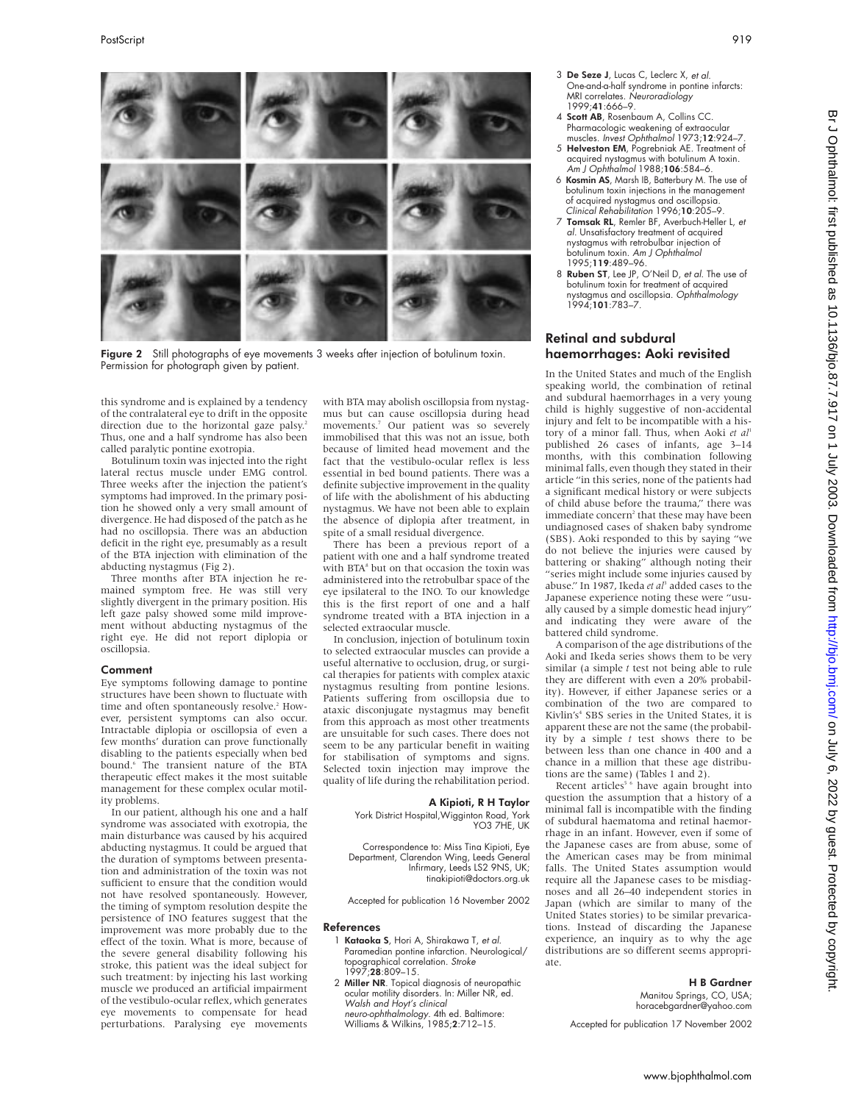

Figure 2 Still photographs of eye movements 3 weeks after injection of botulinum toxin. Permission for photograph given by patient.

this syndrome and is explained by a tendency of the contralateral eye to drift in the opposite direction due to the horizontal gaze palsy.<sup>2</sup> Thus, one and a half syndrome has also been called paralytic pontine exotropia.

Botulinum toxin was injected into the right lateral rectus muscle under EMG control. Three weeks after the injection the patient's symptoms had improved. In the primary position he showed only a very small amount of divergence. He had disposed of the patch as he had no oscillopsia. There was an abduction deficit in the right eye, presumably as a result of the BTA injection with elimination of the abducting nystagmus (Fig 2).

Three months after BTA injection he remained symptom free. He was still very slightly divergent in the primary position. His left gaze palsy showed some mild improvement without abducting nystagmus of the right eye. He did not report diplopia or oscillopsia.

#### Comment

Eye symptoms following damage to pontine structures have been shown to fluctuate with time and often spontaneously resolve.<sup>2</sup> However, persistent symptoms can also occur. Intractable diplopia or oscillopsia of even a few months' duration can prove functionally disabling to the patients especially when bed bound.6 The transient nature of the BTA therapeutic effect makes it the most suitable management for these complex ocular motility problems.

In our patient, although his one and a half syndrome was associated with exotropia, the main disturbance was caused by his acquired abducting nystagmus. It could be argued that the duration of symptoms between presentation and administration of the toxin was not sufficient to ensure that the condition would not have resolved spontaneously. However, the timing of symptom resolution despite the persistence of INO features suggest that the improvement was more probably due to the effect of the toxin. What is more, because of the severe general disability following his stroke, this patient was the ideal subject for such treatment: by injecting his last working muscle we produced an artificial impairment of the vestibulo-ocular reflex, which generates eye movements to compensate for head perturbations. Paralysing eye movements

with BTA may abolish oscillopsia from nystagmus but can cause oscillopsia during head movements.7 Our patient was so severely immobilised that this was not an issue, both because of limited head movement and the fact that the vestibulo-ocular reflex is less essential in bed bound patients. There was a definite subjective improvement in the quality of life with the abolishment of his abducting nystagmus. We have not been able to explain the absence of diplopia after treatment, in spite of a small residual divergence.

There has been a previous report of a patient with one and a half syndrome treated with BTA<sup>8</sup> but on that occasion the toxin was administered into the retrobulbar space of the eye ipsilateral to the INO. To our knowledge this is the first report of one and a half syndrome treated with a BTA injection in a selected extraocular muscle.

In conclusion, injection of botulinum toxin to selected extraocular muscles can provide a useful alternative to occlusion, drug, or surgical therapies for patients with complex ataxic nystagmus resulting from pontine lesions. Patients suffering from oscillopsia due to ataxic disconjugate nystagmus may benefit from this approach as most other treatments are unsuitable for such cases. There does not seem to be any particular benefit in waiting for stabilisation of symptoms and signs. Selected toxin injection may improve the quality of life during the rehabilitation period.

#### A Kipioti, R H Taylor

York District Hospital,Wigginton Road, York YO3 7HE, UK

Correspondence to: Miss Tina Kipioti, Eye Department, Clarendon Wing, Leeds General Infirmary, Leeds LS2 9NS, UK; tinakipioti@doctors.org.uk

Accepted for publication 16 November 2002

#### References

- 1 Kataoka S, Hori A, Shirakawa T, et al. Paramedian pontine infarction. Neurological/ topographical correlation. *Stroke*<br>1997;**28**:809–15.
- 2 Miller NR. Topical diagnosis of neuropathic ocular motility disorders. In: Miller NR, ed. Walsh and Hoyt's clinical neuro-ophthalmology. 4th ed. Baltimore: Williams & Wilkins, 1985;2:712–15.
- 3 De Seze J, Lucas C, Leclerc X, et al. One-and-a-half syndrome in pontine infarcts: MRI correlates. Neuroradiology 1999;41:666–9.
- 4 Scott AB, Rosenbaum A, Collins CC. Pharmacologic weakening of extraocular muscles. Invest Ophthalmol 1973;12:924–7.
- 5 Helveston EM, Pogrebniak AE. Treatment of acquired nystagmus with botulinum A toxin. Am J Ophthalmol 1988;106:584–6.
- 6 Kosmin AS, Marsh IB, Batterbury M. The use of botulinum toxin injections in the management of acquired nystagmus and oscillopsia. Clinical Rehabilitation 1996;10:205–9.
- 7 Tomsak RL, Remler BF, Averbuch-Heller L, et al. Unsatisfactory treatment of acquired nystagmus with retrobulbar injection of botulinum toxin. Am J Ophthalmol 1995;119:489–96.
- 8 Ruben ST, Lee JP, O'Neil D, et al. The use of botulinum toxin for treatment of acquired nystagmus and oscillopsia. Ophthalmology 1994;101:783–7.

## Retinal and subdural haemorrhages: Aoki revisited

In the United States and much of the English speaking world, the combination of retinal and subdural haemorrhages in a very young child is highly suggestive of non-accidental injury and felt to be incompatible with a history of a minor fall. Thus, when Aoki et al<sup>1</sup> published 26 cases of infants, age 3–14 months, with this combination following minimal falls, even though they stated in their article "in this series, none of the patients had a significant medical history or were subjects of child abuse before the trauma," there was immediate concern<sup>2</sup> that these may have been undiagnosed cases of shaken baby syndrome (SBS). Aoki responded to this by saying "we do not believe the injuries were caused by battering or shaking" although noting their "series might include some injuries caused by abuse." In 1987, Ikeda *et al*<sup>3</sup> added cases to the Japanese experience noting these were "usually caused by a simple domestic head injury" and indicating they were aware of the battered child syndrome.

A comparison of the age distributions of the Aoki and Ikeda series shows them to be very similar (a simple *t* test not being able to rule they are different with even a 20% probability). However, if either Japanese series or a combination of the two are compared to Kivlin's<sup>4</sup> SBS series in the United States, it is apparent these are not the same (the probability by a simple  $t$  test shows there to be ity by a simple *t* test shows there to be between less than one chance in 400 and a chance in a million that these age distributions are the same) (Tables 1 and 2).

Recent articles<sup>56</sup> have again brought into question the assumption that a history of a minimal fall is incompatible with the finding of subdural haematoma and retinal haemorrhage in an infant. However, even if some of the Japanese cases are from abuse, some of the American cases may be from minimal falls. The United States assumption would require all the Japanese cases to be misdiagnoses and all 26–40 independent stories in Japan (which are similar to many of the United States stories) to be similar prevarications. Instead of discarding the Japanese experience, an inquiry as to why the age distributions are so different seems appropriate.

#### H B Gardner

Manitou Springs, CO, USA; horacebgardner@yahoo.com

Accepted for publication 17 November 2002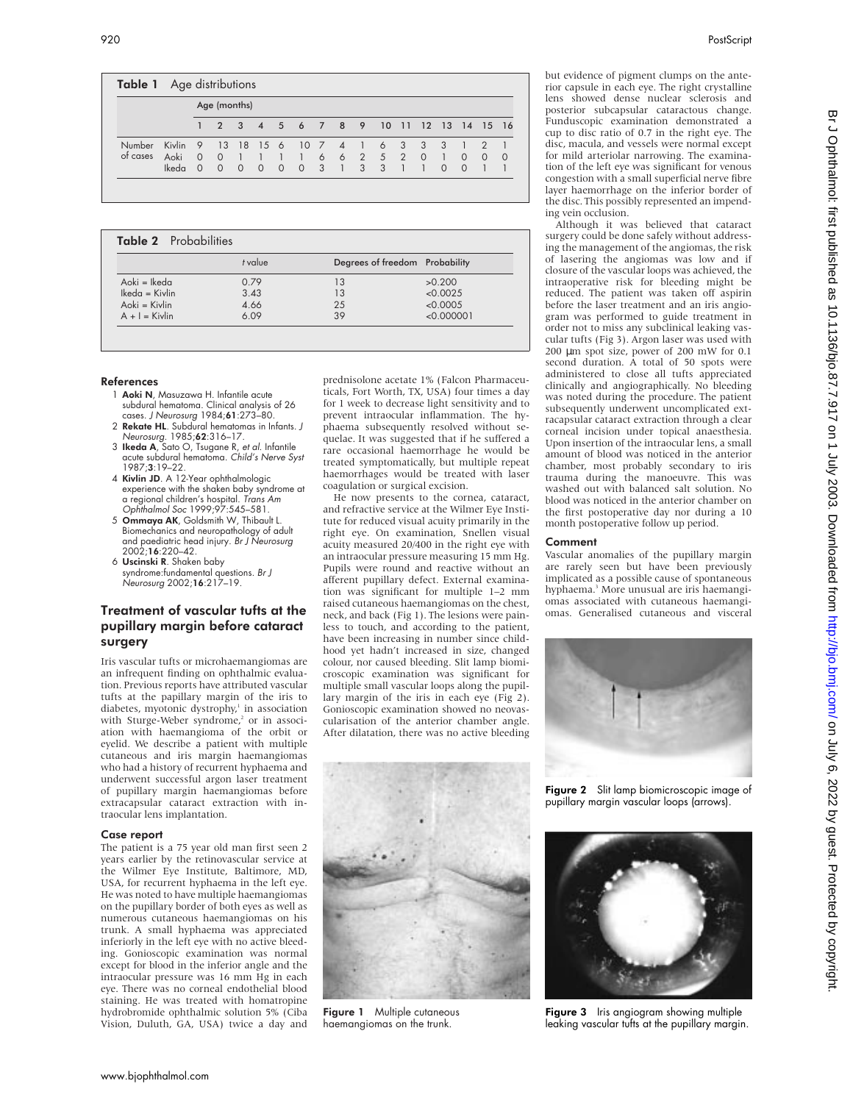|                    |                         |                                        | Age (months)              |                                     |                              |                |                                |                              |                                       |                                  |                   |                 |                                           |                                   |                      |                           |          |
|--------------------|-------------------------|----------------------------------------|---------------------------|-------------------------------------|------------------------------|----------------|--------------------------------|------------------------------|---------------------------------------|----------------------------------|-------------------|-----------------|-------------------------------------------|-----------------------------------|----------------------|---------------------------|----------|
|                    |                         | 47                                     | $\mathcal{P}$             |                                     |                              |                | 3 4 5 6 7                      |                              | 8 9 10                                |                                  |                   | $\overline{11}$ |                                           | 12 13 14 15 16                    |                      |                           |          |
| Number<br>of cases | Kivlin<br>Aoki<br>Ikeda | $\overline{9}$<br>$\Omega$<br>$\Omega$ | 13<br>$\circ$<br>$\Omega$ | <sup>18</sup><br>$-1$<br>$\bigcirc$ | $15\quad6$<br>$\overline{0}$ | $\overline{0}$ | 10 7<br>$-1$<br>$\overline{0}$ | 6<br>$\overline{\mathbf{3}}$ | $\overline{4}$<br>6<br>$\overline{1}$ | $\overline{1}$<br>3 <sup>3</sup> | 6 3<br>2 5 2<br>3 |                 | $\overline{\mathbf{3}}$<br>$\overline{0}$ | - 3<br>$\overline{1}$<br>$\Omega$ | $\Omega$<br>$\Omega$ | $\mathcal{P}$<br>$\Omega$ | $\Omega$ |

| Table 2 Probabilities |         |                                |            |  |  |
|-----------------------|---------|--------------------------------|------------|--|--|
|                       | t value | Degrees of freedom Probability |            |  |  |
| Aoki = Ikeda          | 0.79    | 13                             | >0.200     |  |  |
| $lk$ eda = Kivlin     | 3.43    | 13                             | < 0.0025   |  |  |
| Aoki = Kivlin         | 4.66    | 25                             | < 0.0005   |  |  |
| $A + I =$ Kivlin      | 6.09    | 39                             | < 0.000001 |  |  |

#### References

- 1 Aoki N, Masuzawa H, Infantile acute subdural hematoma. Clinical analysis of 26 cases. J Neurosurg 1984;61:273–80.
- 2 Rekate HL. Subdural hematomas in Infants. J
- Neurosurg. 1985;**62**:316–17.<br>3 **Ikeda A**, Sato O, Tsugane R, *et al*. Infantile acute subdural hematoma. Child's Nerve Syst 1987;3:19–22.
- 4 Kivlin JD. A 12-Year ophthalmologic experience with the shaken baby syndrome at a regional children's hospital. Trans Am Ophthalmol Soc 1999;97:545–581.
- 5 Ommaya AK, Goldsmith W, Thibault L. Biomechanics and neuropathology of adult and paediatric head injury. Br J Neurosurg 2002;16:220–42.
- 6 Uscinski R. Shaken baby syndrome:fundamental questions. Br J Neurosurg 2002;16:217–19.

## Treatment of vascular tufts at the pupillary margin before cataract surgery

Iris vascular tufts or microhaemangiomas are an infrequent finding on ophthalmic evaluation. Previous reports have attributed vascular tufts at the papillary margin of the iris to diabetes, myotonic dystrophy,<sup>1</sup> in association with Sturge-Weber syndrome,<sup>2</sup> or in association with haemangioma of the orbit or eyelid. We describe a patient with multiple cutaneous and iris margin haemangiomas who had a history of recurrent hyphaema and underwent successful argon laser treatment of pupillary margin haemangiomas before extracapsular cataract extraction with intraocular lens implantation.

#### Case report

The patient is a 75 year old man first seen 2 years earlier by the retinovascular service at the Wilmer Eye Institute, Baltimore, MD, USA, for recurrent hyphaema in the left eye. He was noted to have multiple haemangiomas on the pupillary border of both eyes as well as numerous cutaneous haemangiomas on his trunk. A small hyphaema was appreciated inferiorly in the left eye with no active bleeding. Gonioscopic examination was normal except for blood in the inferior angle and the intraocular pressure was 16 mm Hg in each eye. There was no corneal endothelial blood staining. He was treated with homatropine hydrobromide ophthalmic solution 5% (Ciba Vision, Duluth, GA, USA) twice a day and

prednisolone acetate 1% (Falcon Pharmaceuticals, Fort Worth, TX, USA) four times a day for 1 week to decrease light sensitivity and to prevent intraocular inflammation. The hyphaema subsequently resolved without sequelae. It was suggested that if he suffered a rare occasional haemorrhage he would be treated symptomatically, but multiple repeat haemorrhages would be treated with laser coagulation or surgical excision.

He now presents to the cornea, cataract, and refractive service at the Wilmer Eye Institute for reduced visual acuity primarily in the right eye. On examination, Snellen visual acuity measured 20/400 in the right eye with an intraocular pressure measuring 15 mm Hg. Pupils were round and reactive without an afferent pupillary defect. External examination was significant for multiple 1–2 mm raised cutaneous haemangiomas on the chest, neck, and back (Fig 1). The lesions were painless to touch, and according to the patient, have been increasing in number since childhood yet hadn't increased in size, changed colour, nor caused bleeding. Slit lamp biomicroscopic examination was significant for multiple small vascular loops along the pupillary margin of the iris in each eye (Fig 2). Gonioscopic examination showed no neovascularisation of the anterior chamber angle. After dilatation, there was no active bleeding



Figure 1 Multiple cutaneous haemangiomas on the trunk.

but evidence of pigment clumps on the anterior capsule in each eye. The right crystalline lens showed dense nuclear sclerosis and posterior subcapsular cataractous change. Funduscopic examination demonstrated a cup to disc ratio of 0.7 in the right eye. The disc, macula, and vessels were normal except for mild arteriolar narrowing. The examination of the left eye was significant for venous congestion with a small superficial nerve fibre layer haemorrhage on the inferior border of the disc. This possibly represented an impending vein occlusion.

Although it was believed that cataract surgery could be done safely without addressing the management of the angiomas, the risk of lasering the angiomas was low and if closure of the vascular loops was achieved, the intraoperative risk for bleeding might be reduced. The patient was taken off aspirin before the laser treatment and an iris angiogram was performed to guide treatment in order not to miss any subclinical leaking vascular tufts (Fig 3). Argon laser was used with 200 µm spot size, power of 200 mW for 0.1 second duration. A total of 50 spots were administered to close all tufts appreciated clinically and angiographically. No bleeding was noted during the procedure. The patient subsequently underwent uncomplicated extracapsular cataract extraction through a clear corneal incision under topical anaesthesia. Upon insertion of the intraocular lens, a small amount of blood was noticed in the anterior chamber, most probably secondary to iris trauma during the manoeuvre. This was washed out with balanced salt solution. No blood was noticed in the anterior chamber on the first postoperative day nor during a 10 month postoperative follow up period.

### **Comment**

Vascular anomalies of the pupillary margin are rarely seen but have been previously implicated as a possible cause of spontaneous hyphaema.<sup>3</sup> More unusual are iris haemangiomas associated with cutaneous haemangiomas. Generalised cutaneous and visceral



Figure 2 Slit lamp biomicroscopic image of pupillary margin vascular loops (arrows).



Figure 3 Iris angiogram showing multiple leaking vascular tufts at the pupillary margin.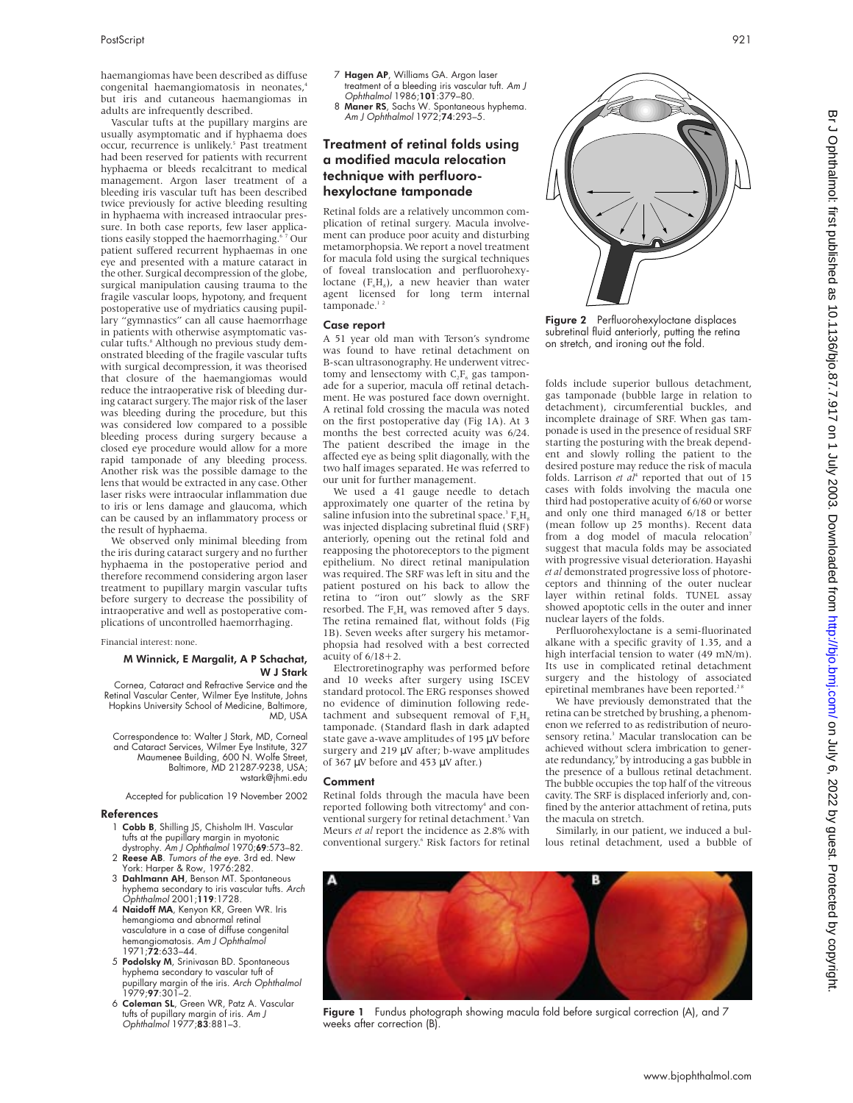haemangiomas have been described as diffuse congenital haemangiomatosis in neonates,4 but iris and cutaneous haemangiomas in adults are infrequently described.

Vascular tufts at the pupillary margins are usually asymptomatic and if hyphaema does occur, recurrence is unlikely.<sup>5</sup> Past treatment had been reserved for patients with recurrent hyphaema or bleeds recalcitrant to medical management. Argon laser treatment of a bleeding iris vascular tuft has been described twice previously for active bleeding resulting in hyphaema with increased intraocular pressure. In both case reports, few laser applications easily stopped the haemorrhaging.<sup>67</sup> Our patient suffered recurrent hyphaemas in one eye and presented with a mature cataract in the other. Surgical decompression of the globe, surgical manipulation causing trauma to the fragile vascular loops, hypotony, and frequent postoperative use of mydriatics causing pupillary "gymnastics" can all cause haemorrhage in patients with otherwise asymptomatic vascular tufts.<sup>8</sup> Although no previous study demonstrated bleeding of the fragile vascular tufts with surgical decompression, it was theorised that closure of the haemangiomas would reduce the intraoperative risk of bleeding during cataract surgery. The major risk of the laser was bleeding during the procedure, but this was considered low compared to a possible bleeding process during surgery because a closed eye procedure would allow for a more rapid tamponade of any bleeding process. Another risk was the possible damage to the lens that would be extracted in any case. Other laser risks were intraocular inflammation due to iris or lens damage and glaucoma, which can be caused by an inflammatory process or the result of hyphaema.

We observed only minimal bleeding from the iris during cataract surgery and no further hyphaema in the postoperative period and therefore recommend considering argon laser treatment to pupillary margin vascular tufts before surgery to decrease the possibility of intraoperative and well as postoperative complications of uncontrolled haemorrhaging.

Financial interest: none.

#### M Winnick, E Margalit, A P Schachat, W J Stark

Cornea, Cataract and Refractive Service and the Retinal Vascular Center, Wilmer Eye Institute, Johns Hopkins University School of Medicine, Baltimore, MD, USA

Correspondence to: Walter J Stark, MD, Corneal and Cataract Services, Wilmer Eye Institute, 327 Maumenee Building, 600 N. Wolfe Street, Baltimore, MD 21287-9238, USA; wstark@jhmi.edu

Accepted for publication 19 November 2002

#### References

- 1 Cobb B, Shilling JS, Chisholm IH. Vascular tufts at the pupillary margin in myotonic
- dystrophy. Am J Ophthalmol 1970;69:573-82. 2 Reese AB. Tumors of the eye. 3rd ed. New York: Harper & Row, 1976:282.
- 3 Dahlmann AH, Benson MT. Spontaneous hyphema secondary to iris vascular tufts. Arch Ophthalmol 2001;119:1728.
- 4 Naidoff MA, Kenyon KR, Green WR. Iris hemangioma and abnormal retinal vasculature in a case of diffuse congenital hemangiomatosis. Am J Ophthalmol 1971;72:633–44.
- 5 Podolsky M, Srinivasan BD. Spontaneous hyphema secondary to vascular tuft of pupillary margin of the iris. *Arch Ophthalmol*<br>1979;**97**:301–2.
- 6 Coleman SL, Green WR, Patz A. Vascular tufts of pupillary margin of iris. *Am J*<br>Ophthalmol 1977;**83**:881–3.
- 7 Hagen AP, Williams GA. Argon laser treatment of a bleeding iris vascular tuft. *Am J*<br>Ophthalmol 1986;**101**:379–80.
- 8 Maner RS, Sachs W. Spontaneous hyphema. Am J Ophthalmol 1972;74:293-5.

## Treatment of retinal folds using a modified macula relocation technique with perfluorohexyloctane tamponade

Retinal folds are a relatively uncommon complication of retinal surgery. Macula involvement can produce poor acuity and disturbing metamorphopsia. We report a novel treatment for macula fold using the surgical techniques of foveal translocation and perfluorohexyloctane  $(F<sub>6</sub>H<sub>8</sub>)$ , a new heavier than water agent licensed for long term internal tamponade. $12$ 

#### Case report

A 51 year old man with Terson's syndrome was found to have retinal detachment on B-scan ultrasonography. He underwent vitrectomy and lensectomy with  $C_2F_6$  gas tamponade for a superior, macula off retinal detachment. He was postured face down overnight. A retinal fold crossing the macula was noted on the first postoperative day (Fig 1A). At 3 months the best corrected acuity was 6/24. The patient described the image in the affected eye as being split diagonally, with the two half images separated. He was referred to our unit for further management.

We used a 41 gauge needle to detach approximately one quarter of the retina by saline infusion into the subretinal space.<sup>3</sup>  $F.H.$ was injected displacing subretinal fluid (SRF) anteriorly, opening out the retinal fold and reapposing the photoreceptors to the pigment epithelium. No direct retinal manipulation was required. The SRF was left in situ and the patient postured on his back to allow the retina to "iron out" slowly as the SRF resorbed. The  $F<sub>e</sub>H<sub>s</sub>$  was removed after 5 days. The retina remained flat, without folds (Fig 1B). Seven weeks after surgery his metamorphopsia had resolved with a best corrected acuity of  $6/18+2$ .

Electroretinography was performed before and 10 weeks after surgery using ISCEV standard protocol. The ERG responses showed no evidence of diminution following redetachment and subsequent removal of  $F<sub>e</sub>H<sub>a</sub>$ tamponade. (Standard flash in dark adapted state gave a-wave amplitudes of 195 µV before surgery and 219 µV after; b-wave amplitudes of 367 µV before and 453 µV after.)

#### Comment

Retinal folds through the macula have been reported following both vitrectomy<sup>4</sup> and conventional surgery for retinal detachment.<sup>5</sup> Van Meurs *et al* report the incidence as 2.8% with Meurs *et al* report the incidence as 2.8% with<br>conventional surgery.<sup>6</sup> Risk factors for retinal



gas tamponade (bubble large in relation to detachment), circumferential buckles, and incomplete drainage of SRF. When gas tamponade is used in the presence of residual SRF starting the posturing with the break dependent and slowly rolling the patient to the desired posture may reduce the risk of macula folds. Larrison *et al<sup>4</sup>* reported that out of 15 cases with folds involving the macula one third had postoperative acuity of 6/60 or worse and only one third managed 6/18 or better (mean follow up 25 months). Recent data from a dog model of macula relocation<sup>7</sup> suggest that macula folds may be associated with progressive visual deterioration. Hayashi *et al* demonstrated progressive loss of photoreceptors and thinning of the outer nuclear layer within retinal folds. TUNEL assay showed apoptotic cells in the outer and inner nuclear layers of the folds.

Perfluorohexyloctane is a semi-fluorinated alkane with a specific gravity of 1.35, and a high interfacial tension to water (49 mN/m). Its use in complicated retinal detachment surgery and the histology of associated epiretinal membranes have been reported.<sup>28</sup>

We have previously demonstrated that the retina can be stretched by brushing, a phenomenon we referred to as redistribution of neurosensory retina.<sup>3</sup> Macular translocation can be achieved without sclera imbrication to generate redundancy,<sup>9</sup> by introducing a gas bubble in the presence of a bullous retinal detachment. The bubble occupies the top half of the vitreous cavity. The SRF is displaced inferiorly and, confined by the anterior attachment of retina, puts the macula on stretch.

Similarly, in our patient, we induced a bullous retinal detachment, used a bubble of



Figure 1 Fundus photograph showing macula fold before surgical correction (A), and 7 weeks after correction (B)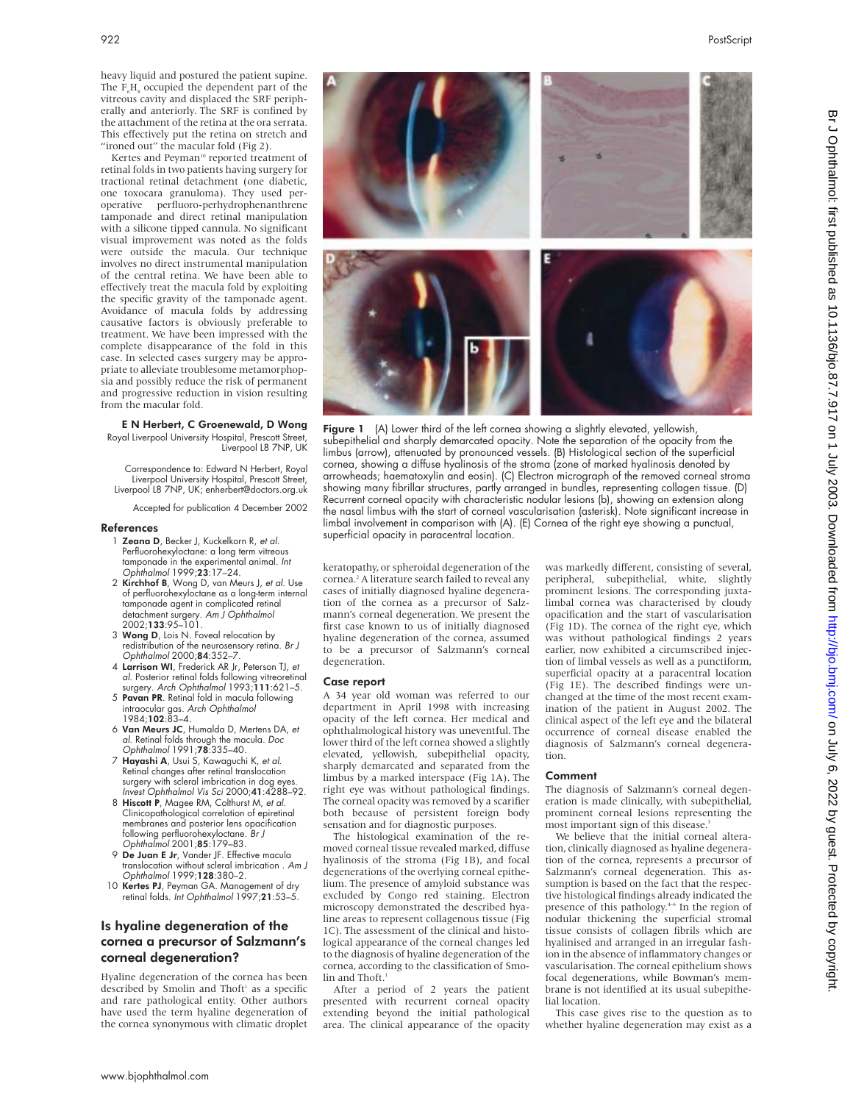heavy liquid and postured the patient supine. The  $F<sub>6</sub>H<sub>8</sub>$  occupied the dependent part of the vitreous cavity and displaced the SRF peripherally and anteriorly. The SRF is confined by the attachment of the retina at the ora serrata. This effectively put the retina on stretch and "ironed out" the macular fold (Fig 2).

Kertes and Peyman<sup>10</sup> reported treatment of retinal folds in two patients having surgery for tractional retinal detachment (one diabetic, one toxocara granuloma). They used peroperative perfluoro-perhydrophenanthrene tamponade and direct retinal manipulation with a silicone tipped cannula. No significant visual improvement was noted as the folds were outside the macula. Our technique involves no direct instrumental manipulation of the central retina. We have been able to effectively treat the macula fold by exploiting the specific gravity of the tamponade agent. Avoidance of macula folds by addressing causative factors is obviously preferable to treatment. We have been impressed with the complete disappearance of the fold in this case. In selected cases surgery may be appropriate to alleviate troublesome metamorphopsia and possibly reduce the risk of permanent and progressive reduction in vision resulting from the macular fold.

#### E N Herbert, C Groenewald, D Wong Royal Liverpool University Hospital, Prescott Street, Liverpool L8 7NP, UK

Correspondence to: Edward N Herbert, Royal Liverpool University Hospital, Prescott Street, Liverpool L8 7NP, UK; enherbert@doctors.org.uk

Accepted for publication 4 December 2002

#### References

- 1 Zeana D, Becker J, Kuckelkorn R, et al. Perfluorohexyloctane: a long term vitreous tamponade in the experimental animal. Int Ophthalmol 1999;23:17–24.
- 2 Kirchhof B, Wong D, van Meurs J, et al. Use of perfluorohexyloctane as a long-term internal tamponade agent in complicated retinal detachment surgery. *Am J Ophthalmol*<br>2002;**133**:95–101.
- 3 Wong D, Lois N. Foveal relocation by redistribution of the neurosensory retina. Br J Ophthalmol 2000;84:352–7.
- 4 Larrison WI, Frederick AR Jr, Peterson TJ, et al. Posterior retinal folds following vitreoretinal surgery. Arch Ophthalmol 1993;111:621-5.
- 5 Pavan PR. Retinal fold in macula following intraocular gas. Arch Ophthalmol 1984;102:83–4.
- 6 Van Meurs JC, Humalda D, Mertens DA, et al. Retinal folds through the macula. Doc Ophthalmol 1991;78:335–40.
- 7 Hayashi A, Usui S, Kawaguchi K, et al. Retinal changes after retinal translocation surgery with scleral imbrication in dog eyes.
- Invest Ophthalmol Vis Sci 2000;41:4288–92. 8 Hiscott P, Magee RM, Colthurst M, et al. Clinicopathological correlation of epiretinal membranes and posterior lens opacification following perfluorohexyloctane. Br J Ophthalmol 2001;85:179–83.
- 9 De Juan E Jr, Vander JF. Effective macula translocation without scleral imbrication . Am J Ophthalmol 1999;128:380–2.
- 10 Kertes PJ, Peyman GA. Management of dry retinal folds. Int Ophthalmol 1997;21:53-5.

## Is hyaline degeneration of the cornea a precursor of Salzmann's corneal degeneration?

Hyaline degeneration of the cornea has been described by Smolin and Thoft<sup>1</sup> as a specific and rare pathological entity. Other authors have used the term hyaline degeneration of the cornea synonymous with climatic droplet



Figure 1 (A) Lower third of the left cornea showing a slightly elevated, yellowish, subepithelial and sharply demarcated opacity. Note the separation of the opacity from the limbus (arrow), attenuated by pronounced vessels. (B) Histological section of the superficial cornea, showing a diffuse hyalinosis of the stroma (zone of marked hyalinosis denoted by arrowheads; haematoxylin and eosin). (C) Electron micrograph of the removed corneal stroma showing many fibrillar structures, partly arranged in bundles, representing collagen tissue. (D) Recurrent corneal opacity with characteristic nodular lesions (b), showing an extension along the nasal limbus with the start of corneal vascularisation (asterisk). Note significant increase in limbal involvement in comparison with (A). (E) Cornea of the right eye showing a punctual, superficial opacity in paracentral location.

keratopathy, or spheroidal degeneration of the cornea.<sup>2</sup> A literature search failed to reveal any cases of initially diagnosed hyaline degeneration of the cornea as a precursor of Salzmann's corneal degeneration. We present the first case known to us of initially diagnosed hyaline degeneration of the cornea, assumed to be a precursor of Salzmann's corneal degeneration.

#### Case report

A 34 year old woman was referred to our department in April 1998 with increasing opacity of the left cornea. Her medical and ophthalmological history was uneventful. The lower third of the left cornea showed a slightly elevated, yellowish, subepithelial opacity, sharply demarcated and separated from the limbus by a marked interspace (Fig 1A). The right eye was without pathological findings. The corneal opacity was removed by a scarifier both because of persistent foreign body sensation and for diagnostic purposes.

The histological examination of the removed corneal tissue revealed marked, diffuse hyalinosis of the stroma (Fig 1B), and focal degenerations of the overlying corneal epithelium. The presence of amyloid substance was excluded by Congo red staining. Electron microscopy demonstrated the described hyaline areas to represent collagenous tissue (Fig 1C). The assessment of the clinical and histological appearance of the corneal changes led to the diagnosis of hyaline degeneration of the cornea, according to the classification of Smolin and Thoft.

After a period of 2 years the patient presented with recurrent corneal opacity extending beyond the initial pathological area. The clinical appearance of the opacity

was markedly different, consisting of several, peripheral, subepithelial, white, slightly prominent lesions. The corresponding juxtalimbal cornea was characterised by cloudy opacification and the start of vascularisation (Fig 1D). The cornea of the right eye, which was without pathological findings 2 years earlier, now exhibited a circumscribed injection of limbal vessels as well as a punctiform, superficial opacity at a paracentral location (Fig 1E). The described findings were unchanged at the time of the most recent examination of the patient in August 2002. The clinical aspect of the left eye and the bilateral occurrence of corneal disease enabled the diagnosis of Salzmann's corneal degeneration.

#### Comment

The diagnosis of Salzmann's corneal degeneration is made clinically, with subepithelial, prominent corneal lesions representing the most important sign of this disease.

We believe that the initial corneal alteration, clinically diagnosed as hyaline degeneration of the cornea, represents a precursor of Salzmann's corneal degeneration. This assumption is based on the fact that the respective histological findings already indicated the presence of this pathology.<sup>4-6</sup> In the region of nodular thickening the superficial stromal tissue consists of collagen fibrils which are hyalinised and arranged in an irregular fashion in the absence of inflammatory changes or vascularisation. The corneal epithelium shows focal degenerations, while Bowman's membrane is not identified at its usual subepithelial location.

This case gives rise to the question as to whether hyaline degeneration may exist as a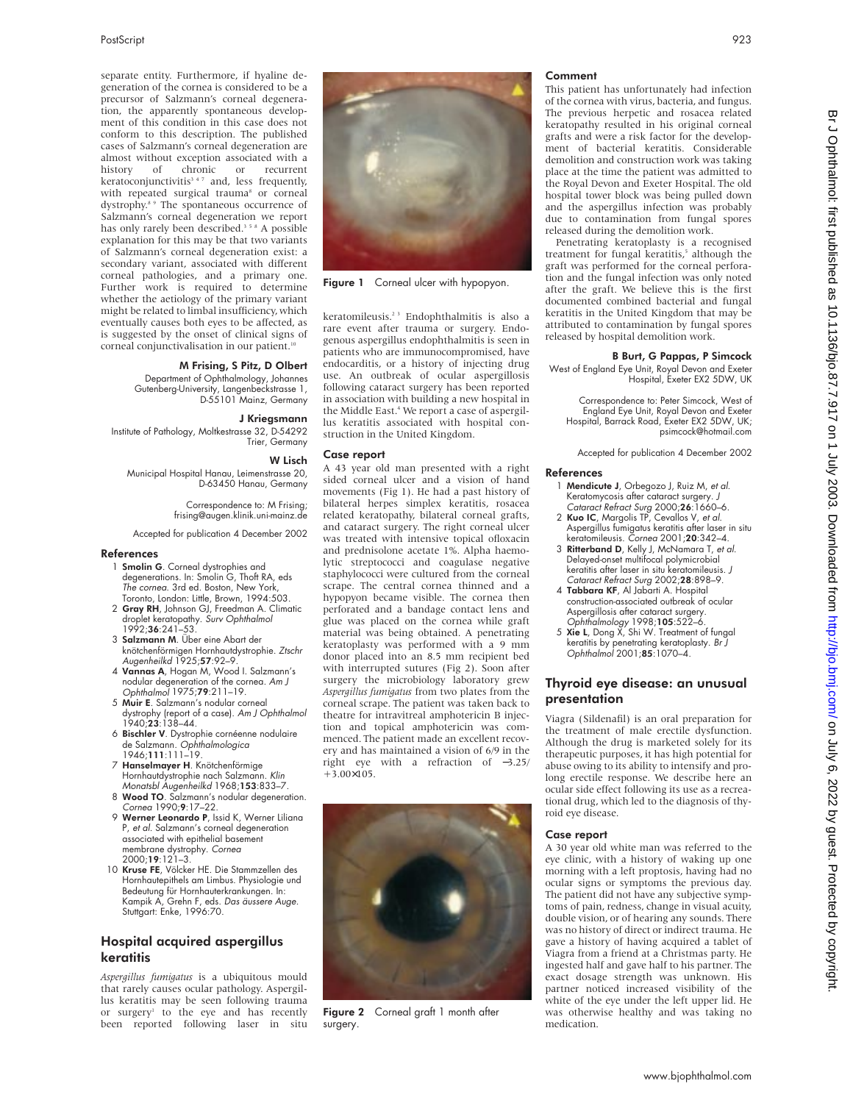separate entity. Furthermore, if hyaline degeneration of the cornea is considered to be a precursor of Salzmann's corneal degeneration, the apparently spontaneous development of this condition in this case does not conform to this description. The published cases of Salzmann's corneal degeneration are almost without exception associated with a<br>history of chronic or recurrent history of chronic or recurrent keratoconjunctivitis<sup>347</sup> and, less frequently, with repeated surgical trauma<sup>8</sup> or corneal dystrophy.<sup>8</sup> <sup>9</sup> The spontaneous occurrence of Salzmann's corneal degeneration we report has only rarely been described.<sup>358</sup> A possible explanation for this may be that two variants of Salzmann's corneal degeneration exist: a secondary variant, associated with different corneal pathologies, and a primary one. Further work is required to determine whether the aetiology of the primary variant might be related to limbal insufficiency, which eventually causes both eyes to be affected, as is suggested by the onset of clinical signs of corneal conjunctivalisation in our patient.<sup>10</sup>

#### M Frising, S Pitz, D Olbert

Department of Ophthalmology, Johannes Gutenberg-University, Langenbeckstrasse 1, D-55101 Mainz, Germany

#### J Kriegsmann

Institute of Pathology, Moltkestrasse 32, D-54292 Trier, Germany

#### W Lisch

Municipal Hospital Hanau, Leimenstrasse 20, D-63450 Hanau, Germany

> Correspondence to: M Frising; frising@augen.klinik.uni-mainz.de

Accepted for publication 4 December 2002

#### References

- 1 **Smolin G**. Corneal dystrophies and degenerations. In: Smolin G, Thoft RA, eds The cornea. 3rd ed. Boston, New York, Toronto, London: Little, Brown, 1994:503.
- 2 Gray RH, Johnson GJ, Freedman A. Climatic droplet keratopathy. *Surv Ophthalmol*<br>1992;**36**:241–53.
- 3 Salzmann M. Über eine Abart der knötchenförmigen Hornhautdystrophie. Ztschr Augenheilkd 1925;57:92–9.
- 4 Vannas A, Hogan M, Wood I. Salzmann's nodular degeneration of the cornea. Am J Ophthalmol 1975;79:211–19.
- 5 Muir E. Salzmann's nodular corneal dystrophy (report of a case). Am J Ophthalmol 1940;23:138–44.
- 6 Bischler V. Dystrophie cornéenne nodulaire de Salzmann. *Ophthalmologica*<br>1946;**111:**111–19.
- 7 Hanselmayer H. Knötchenförmige Hornhautdystrophie nach Salzmann. Klin Monatsbl Áugenheilkd 1968;153:833-7
- 8 Wood TO. Salzmann's nodular degeneration. Cornea 1990;9:17–22.
- 9 Werner Leonardo P, Issid K, Werner Liliana P, et al. Salzmann's corneal degeneration associated with epithelial basement membrane dystrophy. Cornea 2000;19:121–3.
- 10 Kruse FE, Völcker HE. Die Stammzellen des Hornhautepithels am Limbus. Physiologie und Bedeutung tür Hornhauterkrankungen. In:<br>Kampik A, Grehn F, eds. *Das äussere Auge*. Stuttgart: Enke, 1996:70.

## Hospital acquired aspergillus **keratitis**

*Aspergillus fumigatus* is a ubiquitous mould that rarely causes ocular pathology. Aspergillus keratitis may be seen following trauma or surgery<sup>1</sup> to the eye and has recently been reported following laser in situ



Figure 1 Corneal ulcer with hypopyon.

keratomileusis.2 3 Endophthalmitis is also a rare event after trauma or surgery. Endogenous aspergillus endophthalmitis is seen in patients who are immunocompromised, have endocarditis, or a history of injecting drug use. An outbreak of ocular aspergillosis following cataract surgery has been reported in association with building a new hospital in the Middle East.<sup>4</sup> We report a case of aspergillus keratitis associated with hospital construction in the United Kingdom.

#### Case report

A 43 year old man presented with a right sided corneal ulcer and a vision of hand movements (Fig 1). He had a past history of bilateral herpes simplex keratitis, rosacea related keratopathy, bilateral corneal grafts, and cataract surgery. The right corneal ulcer was treated with intensive topical ofloxacin and prednisolone acetate 1%. Alpha haemolytic streptococci and coagulase negative staphylococci were cultured from the corneal scrape. The central cornea thinned and a hypopyon became visible. The cornea then perforated and a bandage contact lens and glue was placed on the cornea while graft material was being obtained. A penetrating keratoplasty was performed with a 9 mm donor placed into an 8.5 mm recipient bed with interrupted sutures (Fig 2). Soon after surgery the microbiology laboratory grew *Aspergillus fumigatus* from two plates from the corneal scrape. The patient was taken back to theatre for intravitreal amphotericin B injection and topical amphotericin was commenced. The patient made an excellent recovery and has maintained a vision of 6/9 in the right eye with a refraction of −3.25/  $+3.00\times105$ .



Figure 2 Corneal graft 1 month after surgery.

#### Comment

This patient has unfortunately had infection of the cornea with virus, bacteria, and fungus. The previous herpetic and rosacea related keratopathy resulted in his original corneal grafts and were a risk factor for the development of bacterial keratitis. Considerable demolition and construction work was taking place at the time the patient was admitted to the Royal Devon and Exeter Hospital. The old hospital tower block was being pulled down and the aspergillus infection was probably due to contamination from fungal spores released during the demolition work.

Penetrating keratoplasty is a recognised treatment for fungal keratitis,<sup>5</sup> although the graft was performed for the corneal perforation and the fungal infection was only noted after the graft. We believe this is the first documented combined bacterial and fungal keratitis in the United Kingdom that may be attributed to contamination by fungal spores released by hospital demolition work.

#### B Burt, G Pappas, P Simcock

West of England Eye Unit, Royal Devon and Exeter Hospital, Exeter EX2 5DW, UK

Correspondence to: Peter Simcock, West of England Eye Unit, Royal Devon and Exeter Hospital, Barrack Road, Exeter EX2 5DW, UK; psimcock@hotmail.com

Accepted for publication 4 December 2002

#### References

- 1 **Mendicute J**, Orbegozo J, Ruiz M, et al. Keratomycosis after cataract surgery. J Cataract Refract Surg 2000;**26**:1660–6.<br>2 **Kuo IC**, Margolis TP, Cevallos V, et al.
- Aspergillus fumigatus keratitis after laser in situ keratomileusis. Cornea 2001;20:342–4.
- 3 Ritterband D, Kelly J, McNamara T, et al. Delayed-onset multifocal polymicrobial keratitis after laser in situ keratomileusis. J Cataract Refract Surg 2002;28:898-9.
- 4 Tabbara KF, Al Jabarti A. Hospital construction-associated outbreak of ocular Aspergillosis after cataract surgery.<br>Ophthalmology 1998;**105**:522–6.
- 5 Xie L, Dong X, Shi W. Treatment of fungal keratitis by penetrating keratoplasty. *Br J*<br>Ophthalmol 2001;**85**:1070–4.

## Thyroid eye disease: an unusual presentation

Viagra (Sildenafil) is an oral preparation for the treatment of male erectile dysfunction. Although the drug is marketed solely for its therapeutic purposes, it has high potential for abuse owing to its ability to intensify and prolong erectile response. We describe here an ocular side effect following its use as a recreational drug, which led to the diagnosis of thyroid eye disease.

#### Case report

A 30 year old white man was referred to the eye clinic, with a history of waking up one morning with a left proptosis, having had no ocular signs or symptoms the previous day. The patient did not have any subjective symptoms of pain, redness, change in visual acuity, double vision, or of hearing any sounds. There was no history of direct or indirect trauma. He gave a history of having acquired a tablet of Viagra from a friend at a Christmas party. He ingested half and gave half to his partner. The exact dosage strength was unknown. His partner noticed increased visibility of the white of the eye under the left upper lid. He was otherwise healthy and was taking no medication.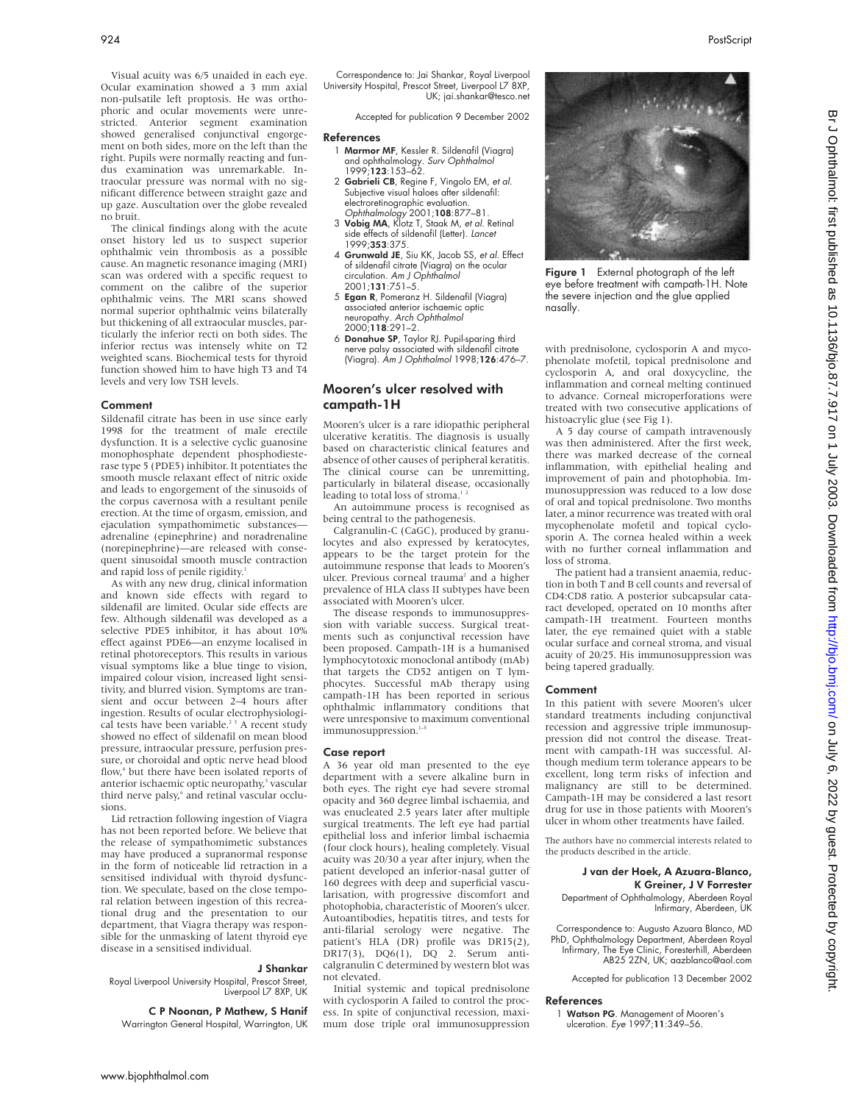The clinical findings along with the acute onset history led us to suspect superior ophthalmic vein thrombosis as a possible cause. An magnetic resonance imaging (MRI) scan was ordered with a specific request to comment on the calibre of the superior ophthalmic veins. The MRI scans showed normal superior ophthalmic veins bilaterally but thickening of all extraocular muscles, particularly the inferior recti on both sides. The inferior rectus was intensely white on T2 weighted scans. Biochemical tests for thyroid function showed him to have high T3 and T4 levels and very low TSH levels.

#### Comment

Sildenafil citrate has been in use since early 1998 for the treatment of male erectile dysfunction. It is a selective cyclic guanosine monophosphate dependent phosphodiesterase type 5 (PDE5) inhibitor. It potentiates the smooth muscle relaxant effect of nitric oxide and leads to engorgement of the sinusoids of the corpus cavernosa with a resultant penile erection. At the time of orgasm, emission, and ejaculation sympathomimetic substances adrenaline (epinephrine) and noradrenaline (norepinephrine)—are released with consequent sinusoidal smooth muscle contraction and rapid loss of penile rigidity.<sup>1</sup>

As with any new drug, clinical information and known side effects with regard to sildenafil are limited. Ocular side effects are few. Although sildenafil was developed as a selective PDE5 inhibitor, it has about 10% effect against PDE6—an enzyme localised in retinal photoreceptors. This results in various visual symptoms like a blue tinge to vision, impaired colour vision, increased light sensitivity, and blurred vision. Symptoms are transient and occur between 2–4 hours after ingestion. Results of ocular electrophysiological tests have been variable.<sup>23</sup> A recent study showed no effect of sildenafil on mean blood pressure, intraocular pressure, perfusion pressure, or choroidal and optic nerve head blood flow,<sup>4</sup> but there have been isolated reports of anterior ischaemic optic neuropathy,<sup>5</sup> vascular third nerve palsy,<sup>6</sup> and retinal vascular occlusions.

Lid retraction following ingestion of Viagra has not been reported before. We believe that the release of sympathomimetic substances may have produced a supranormal response in the form of noticeable lid retraction in a sensitised individual with thyroid dysfunction. We speculate, based on the close temporal relation between ingestion of this recreational drug and the presentation to our department, that Viagra therapy was responsible for the unmasking of latent thyroid eye disease in a sensitised individual.

#### J Shankar

Royal Liverpool University Hospital, Prescot Street, Liverpool L7 8XP, UK

#### C P Noonan, P Mathew, S Hanif

Warrington General Hospital, Warrington, UK

Correspondence to: Jai Shankar, Royal Liverpool University Hospital, Prescot Street, Liverpool L7 8XP, UK; jai.shankar@tesco.net

Accepted for publication 9 December 2002

#### **References**

- 1 Marmor MF, Kessler R. Sildenafil (Viagra) and ophthalmology. Surv Ophthalmol 1999;123:153–62.
- 2 Gabrieli CB, Regine F, Vingolo EM, et al. Subjective visual haloes after sildenafil: electroretinographic evaluation. Ophthalmology 2001;108:877–81.
- 3 Vobig MA, Klotz T, Staak M, et al. Retinal side effects of sildenafil (Letter). Lancet 1999;353:375.
- 4 Grunwald JE, Siu KK, Jacob SS, et al. Effect of sildenafil citrate (Viagra) on the ocular circulation. Am J Ophthalmol 2001;131:751–5.
- 5 Egan R, Pomeranz H. Sildenafil (Viagra) associated anterior ischaemic optic neuropathy. *Arch Ophthalmol*<br>2000;**118**:291–2.
- 6 Donahue SP, Taylor RJ. Pupil-sparing third nerve palsy associated with sildenafil citrate (Viagra). Am J Ophthalmol 1998;126:476–7.

## Mooren's ulcer resolved with campath-1H

Mooren's ulcer is a rare idiopathic peripheral ulcerative keratitis. The diagnosis is usually based on characteristic clinical features and absence of other causes of peripheral keratitis. The clinical course can be unremitting, particularly in bilateral disease, occasionally leading to total loss of stroma.<sup>12</sup>

An autoimmune process is recognised as being central to the pathogenesis.

Calgranulin-C (CaGC), produced by granulocytes and also expressed by keratocytes, appears to be the target protein for the autoimmune response that leads to Mooren's ulcer. Previous corneal trauma<sup>2</sup> and a higher prevalence of HLA class II subtypes have been associated with Mooren's ulcer.

The disease responds to immunosuppression with variable success. Surgical treatments such as conjunctival recession have been proposed. Campath-1H is a humanised lymphocytotoxic monoclonal antibody (mAb) that targets the CD52 antigen on T lymphocytes. Successful mAb therapy using campath-1H has been reported in serious ophthalmic inflammatory conditions that were unresponsive to maximum conventional immunosuppression.<sup>1-5</sup>

#### Case report

A 36 year old man presented to the eye department with a severe alkaline burn in both eyes. The right eye had severe stromal opacity and 360 degree limbal ischaemia, and was enucleated 2.5 years later after multiple surgical treatments. The left eye had partial epithelial loss and inferior limbal ischaemia (four clock hours), healing completely. Visual acuity was 20/30 a year after injury, when the patient developed an inferior-nasal gutter of 160 degrees with deep and superficial vascularisation, with progressive discomfort and photophobia, characteristic of Mooren's ulcer. Autoantibodies, hepatitis titres, and tests for anti-filarial serology were negative. The patient's HLA (DR) profile was DR15(2), DR17(3), DQ6(1), DQ 2. Serum anticalgranulin C determined by western blot was not elevated.

Initial systemic and topical prednisolone with cyclosporin A failed to control the process. In spite of conjunctival recession, maximum dose triple oral immunosuppression



Figure 1 External photograph of the left eye before treatment with campath-1H. Note the severe injection and the glue applied nasally.

with prednisolone, cyclosporin A and mycophenolate mofetil, topical prednisolone and cyclosporin A, and oral doxycycline, the inflammation and corneal melting continued to advance. Corneal microperforations were treated with two consecutive applications of histoacrylic glue (see Fig 1).

A 5 day course of campath intravenously was then administered. After the first week, there was marked decrease of the corneal inflammation, with epithelial healing and improvement of pain and photophobia. Immunosuppression was reduced to a low dose of oral and topical prednisolone. Two months later, a minor recurrence was treated with oral mycophenolate mofetil and topical cyclosporin A. The cornea healed within a week with no further corneal inflammation and loss of stroma.

The patient had a transient anaemia, reduction in both T and B cell counts and reversal of CD4:CD8 ratio. A posterior subcapsular cataract developed, operated on 10 months after campath-1H treatment. Fourteen months later, the eye remained quiet with a stable ocular surface and corneal stroma, and visual acuity of 20/25. His immunosuppression was being tapered gradually.

#### Comment

In this patient with severe Mooren's ulcer standard treatments including conjunctival recession and aggressive triple immunosuppression did not control the disease. Treatment with campath-1H was successful. Although medium term tolerance appears to be excellent, long term risks of infection and malignancy are still to be determined. Campath-1H may be considered a last resort drug for use in those patients with Mooren's ulcer in whom other treatments have failed.

The authors have no commercial interests related to the products described in the article.

### J van der Hoek, A Azuara-Blanco, K Greiner, J V Forrester

Department of Ophthalmology, Aberdeen Royal Infirmary, Aberdeen, UK

Correspondence to: Augusto Azuara Blanco, MD PhD, Ophthalmology Department, Aberdeen Royal Infirmary, The Eye Clinic, Foresterhill, Aberdeen AB25 2ZN, UK; aazblanco@aol.com

Accepted for publication 13 December 2002

#### References

1 Watson PG. Management of Mooren's ulceration. Eye 1997;11:349–56.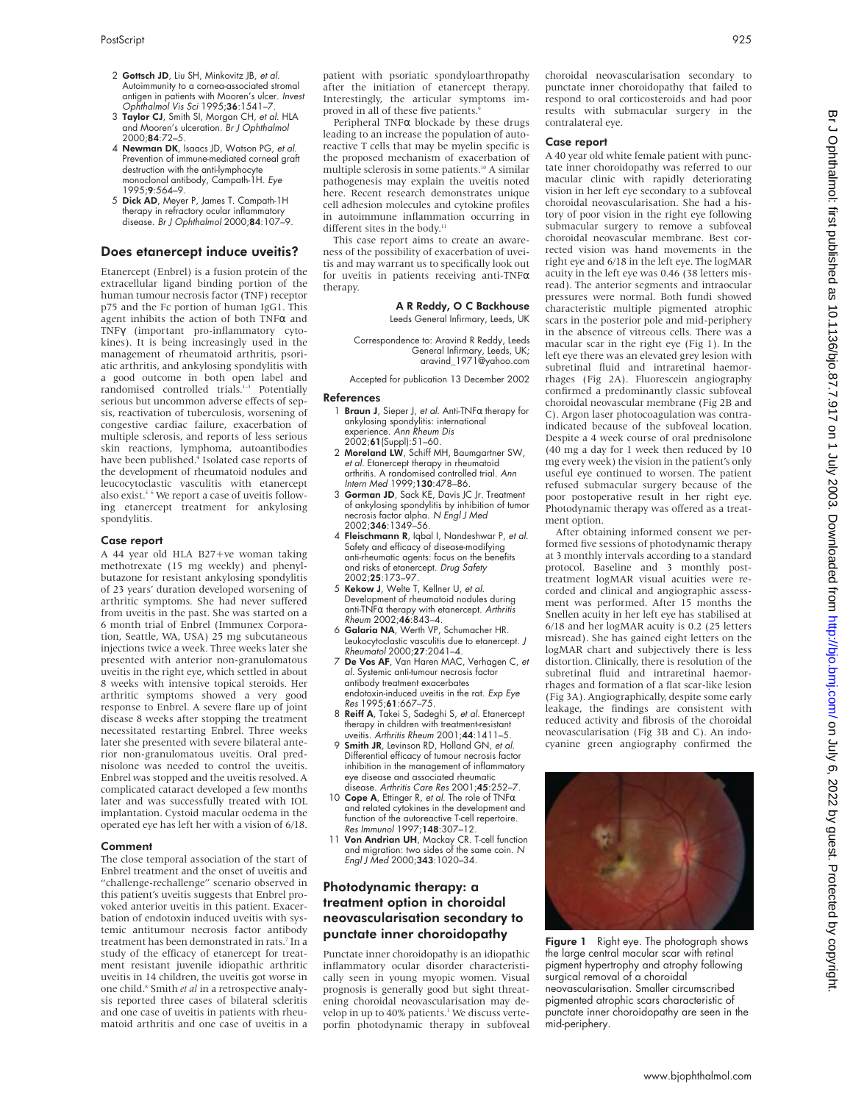- 2 Gottsch JD, Liu SH, Minkovitz JB, et al. Autoimmunity to a cornea-associated stromal antigen in patients with Mooren's ulcer. Invest Ophthalmol Vis Sci 1995;36:1541–7.
- 3 Taylor CJ, Smith SI, Morgan CH, et al. HLA and Mooren's ulceration. Br J Ophthalmol 2000;84:72–5.
- 4 Newman DK, Isaacs JD, Watson PG, et al. Prevention of immune-mediated corneal graft destruction with the anti-lymphocy monoclonal antibody, Campath-1H. Eye 1995;9:564–9.
- 5 Dick AD, Meyer P, James T. Campath-1H therapy in refractory ocular inflammatory disease. Br J Ophthalmol 2000;84:107-9.

#### Does etanercept induce uveitis?

Etanercept (Enbrel) is a fusion protein of the extracellular ligand binding portion of the human tumour necrosis factor (TNF) receptor p75 and the Fc portion of human IgG1. This agent inhibits the action of both TNFα and TNFγ (important pro-inflammatory cytokines). It is being increasingly used in the management of rheumatoid arthritis, psoriatic arthritis, and ankylosing spondylitis with a good outcome in both open label and randomised controlled trials.<sup>1-3</sup> Potentially serious but uncommon adverse effects of sepsis, reactivation of tuberculosis, worsening of congestive cardiac failure, exacerbation of multiple sclerosis, and reports of less serious skin reactions, lymphoma, autoantibodies have been published.<sup>4</sup> Isolated case reports of the development of rheumatoid nodules and leucocytoclastic vasculitis with etanercept also exist.<sup>5 6</sup> We report a case of uveitis following etanercept treatment for ankylosing spondylitis.

#### Case report

A 44 year old HLA B27+ve woman taking methotrexate (15 mg weekly) and phenylbutazone for resistant ankylosing spondylitis of 23 years' duration developed worsening of arthritic symptoms. She had never suffered from uveitis in the past. She was started on a 6 month trial of Enbrel (Immunex Corporation, Seattle, WA, USA) 25 mg subcutaneous injections twice a week. Three weeks later she presented with anterior non-granulomatous uveitis in the right eye, which settled in about 8 weeks with intensive topical steroids. Her arthritic symptoms showed a very good response to Enbrel. A severe flare up of joint disease 8 weeks after stopping the treatment necessitated restarting Enbrel. Three weeks later she presented with severe bilateral anterior non-granulomatous uveitis. Oral prednisolone was needed to control the uveitis. Enbrel was stopped and the uveitis resolved. A complicated cataract developed a few months later and was successfully treated with IOL implantation. Cystoid macular oedema in the operated eye has left her with a vision of 6/18.

#### Comment

The close temporal association of the start of Enbrel treatment and the onset of uveitis and "challenge-rechallenge" scenario observed in this patient's uveitis suggests that Enbrel provoked anterior uveitis in this patient. Exacerbation of endotoxin induced uveitis with systemic antitumour necrosis factor antibody treatment has been demonstrated in rats.7 In a study of the efficacy of etanercept for treatment resistant juvenile idiopathic arthritic uveitis in 14 children, the uveitis got worse in one child.<sup>8</sup> Smith *et al* in a retrospective analysis reported three cases of bilateral scleritis and one case of uveitis in patients with rheumatoid arthritis and one case of uveitis in a patient with psoriatic spondyloarthropathy after the initiation of etanercept therapy. Interestingly, the articular symptoms improved in all of these five patients.<sup>9</sup>

Peripheral TNFα blockade by these drugs leading to an increase the population of autoreactive T cells that may be myelin specific is the proposed mechanism of exacerbation of multiple sclerosis in some patients.<sup>10</sup> A similar pathogenesis may explain the uveitis noted here. Recent research demonstrates unique cell adhesion molecules and cytokine profiles in autoimmune inflammation occurring in different sites in the body.<sup>1</sup>

This case report aims to create an awareness of the possibility of exacerbation of uveitis and may warrant us to specifically look out for uveitis in patients receiving anti-TNFα therapy.

## A R Reddy, O C Backhouse

Leeds General Infirmary, Leeds, UK

Correspondence to: Aravind R Reddy, Leeds General Infirmary, Leeds, UK; aravind\_1971@yahoo.com

Accepted for publication 13 December 2002

#### References

- 1 **Braun J**, Sieper J, et al. Anti-TNFα therapy for ankylosing spondylitis: international experience. Ann Rheum Dis
- 2002;**61** (Suppl):51–60.<br>2 **Moreland LW**, Schiff MH, Baumgartner SW, et al. Etanercept therapy in rheumatoid arthritis. A randomised controlled trial. Ann Intern Med 1999;130:478–86.
- 3 Gorman JD, Sack KE, Davis JC Jr. Treatment of ankylosing spondylitis by inhibition of tumor necrosis factor alpha. N Engl J Med 2002;346:1349–56.
- 4 Fleischmann R, Iqbal I, Nandeshwar P, et al. Safety and efficacy of disease-modifying anti-rheumatic agents: focus on the benefits and risks of etanercept. Drug Safety 2002;25:173–97.
- 5 Kekow J, Welte T, Kellner U, et al. Development of rheumatoid nodules during anti-TNFα therapy with etanercept. Arthritis Rheum 2002;46:843–4.
- 6 Galaria NA, Werth VP, Schumacher HR. Leukocytoclastic vasculitis due to etanercept. J Rheumatol 2000;27:2041–4.
- 7 De Vos AF, Van Haren MAC, Verhagen C, et al. Systemic anti-tumour necrosis factor antibody treatment exacerbates endotoxin-induced uveitis in the rat. Exp Eye Res 1995;61:667–75.
- 8 Reiff A, Takei S, Sadeghi S, et al. Etanercept therapy in children with treatment-resistant uveitis. Arthritis Rheum 2001;44:1411–5.
- 9 Smith JR, Levinson RD, Holland GN, et al. Differential efficacy of tumour necrosis factor inhibition in the management of inflammatory eye disease and associated rheumatic disease. Arthritis Care Res 2001;45:252-7.
- 10 Cope A, Ettinger R, et al. The role of TNF $\alpha$ and related cytokines in the development and function of the autoreactive T-cell repertoire. Res Immunol 1997;148:307–12.
- 11 Von Andrian UH, Mackay CR. T-cell function and migration: two sides of the same coin. N Engl J Med 2000;343:1020–34.

## Photodynamic therapy: a treatment option in choroidal neovascularisation secondary to punctate inner choroidopathy

Punctate inner choroidopathy is an idiopathic inflammatory ocular disorder characteristically seen in young myopic women. Visual prognosis is generally good but sight threatening choroidal neovascularisation may develop in up to 40% patients.<sup>1</sup> We discuss verteporfin photodynamic therapy in subfoveal choroidal neovascularisation secondary to punctate inner choroidopathy that failed to respond to oral corticosteroids and had poor results with submacular surgery in the contralateral eye.

#### Case report

A 40 year old white female patient with punctate inner choroidopathy was referred to our macular clinic with rapidly deteriorating vision in her left eye secondary to a subfoveal choroidal neovascularisation. She had a history of poor vision in the right eye following submacular surgery to remove a subfoveal choroidal neovascular membrane. Best corrected vision was hand movements in the right eye and 6/18 in the left eye. The logMAR acuity in the left eye was 0.46 (38 letters misread). The anterior segments and intraocular pressures were normal. Both fundi showed characteristic multiple pigmented atrophic scars in the posterior pole and mid-periphery in the absence of vitreous cells. There was a macular scar in the right eye (Fig 1). In the left eye there was an elevated grey lesion with subretinal fluid and intraretinal haemorrhages (Fig 2A). Fluorescein angiography confirmed a predominantly classic subfoveal choroidal neovascular membrane (Fig 2B and C). Argon laser photocoagulation was contraindicated because of the subfoveal location. Despite a 4 week course of oral prednisolone (40 mg a day for 1 week then reduced by 10 mg every week) the vision in the patient's only useful eye continued to worsen. The patient refused submacular surgery because of the poor postoperative result in her right eye. Photodynamic therapy was offered as a treatment option.

After obtaining informed consent we performed five sessions of photodynamic therapy at 3 monthly intervals according to a standard protocol. Baseline and 3 monthly posttreatment logMAR visual acuities were recorded and clinical and angiographic assessment was performed. After 15 months the Snellen acuity in her left eye has stabilised at 6/18 and her logMAR acuity is 0.2 (25 letters misread). She has gained eight letters on the logMAR chart and subjectively there is less distortion. Clinically, there is resolution of the subretinal fluid and intraretinal haemorrhages and formation of a flat scar-like lesion (Fig 3A). Angiographically, despite some early leakage, the findings are consistent with reduced activity and fibrosis of the choroidal neovascularisation (Fig 3B and C). An indocyanine green angiography confirmed the



the large central macular scar with retinal pigment hypertrophy and atrophy following surgical removal of a choroidal neovascularisation. Smaller circumscribed pigmented atrophic scars characteristic of punctate inner choroidopathy are seen in the mid-periphery.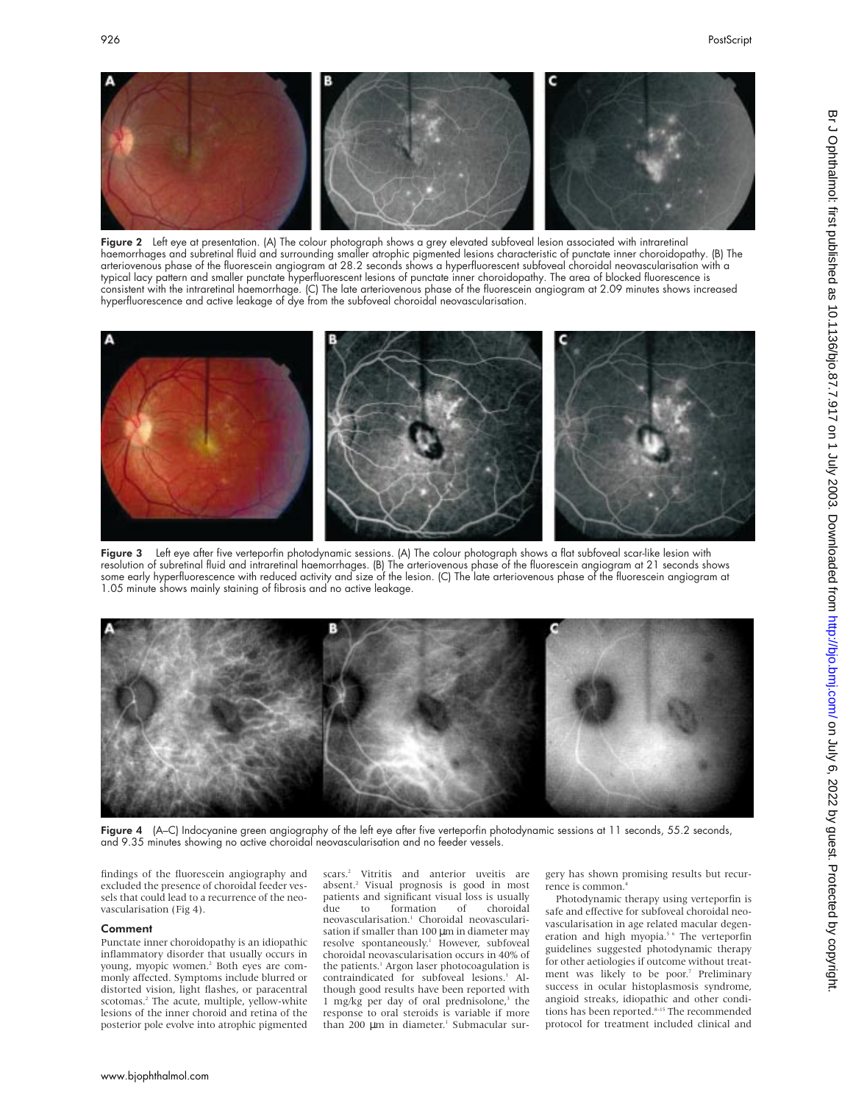

**Figure 2** Left eye at presentation. (A) The colour photograph shows a grey elevated subfoveal lesion associated with intraretinal haemorrhages and subretinal fluid and surrounding smaller atrophic pigmented lesions characteristic of punctate inner choroidopathy. (B) The arteriovenous phase of the fluorescein angiogram at 28.2 seconds shows a hyperfluorescent subfoveal choroidal neovascularisation with a typical lacy pattern and smaller punctate hyperfluorescent lesions of punctate inner choroidopathy. The area of blocked fluorescence is consistent with the intraretinal haemorrhage. (C) The late arteriovenous phase of the fluorescein angiogram at 2.09 minutes shows increased hyperfluorescence and active leakage of dye from the subfoveal choroidal neovascularisation.



Figure 3 Left eye after five verteporfin photodynamic sessions. (A) The colour photograph shows a flat subfoveal scar-like lesion with resolution of subretinal fluid and intraretinal haemorrhages. (B) The arteriovenous phase of the fluorescein angiogram at 21 seconds shows some early hyperfluorescence with reduced activity and size of the lesion. (C) The late arteriovenous phase of the fluorescein angiogram at 1.05 minute shows mainly staining of fibrosis and no active leakage.



Figure 4 (A–C) Indocyanine green angiography of the left eye after five verteporfin photodynamic sessions at 11 seconds, 55.2 seconds, and 9.35 minutes showing no active choroidal neovascularisation and no feeder vessels.

findings of the fluorescein angiography and excluded the presence of choroidal feeder vessels that could lead to a recurrence of the neovascularisation (Fig 4).

#### Comment

Punctate inner choroidopathy is an idiopathic inflammatory disorder that usually occurs in young, myopic women.<sup>2</sup> Both eyes are commonly affected. Symptoms include blurred or distorted vision, light flashes, or paracentral scotomas.<sup>2</sup> The acute, multiple, yellow-white lesions of the inner choroid and retina of the posterior pole evolve into atrophic pigmented

scars.<sup>2</sup> Vitritis and anterior uveitis are absent.2 Visual prognosis is good in most patients and significant visual loss is usually<br>due to formation of choroidal to formation of choroidal neovascularisation.1 Choroidal neovascularisation if smaller than 100  $\mu$ m in diameter may resolve spontaneously.<sup>1</sup> However, subfoveal choroidal neovascularisation occurs in 40% of the patients.<sup>1</sup> Argon laser photocoagulation is contraindicated for subfoveal lesions.<sup>1</sup> Although good results have been reported with 1 mg/kg per day of oral prednisolone, $3$  the response to oral steroids is variable if more than 200 µm in diameter.<sup>1</sup> Submacular surgery has shown promising results but recurrence is common.4

Photodynamic therapy using verteporfin is safe and effective for subfoveal choroidal neovascularisation in age related macular degeneration and high myopia.<sup>5 6</sup> The verteporfin guidelines suggested photodynamic therapy for other aetiologies if outcome without treatment was likely to be poor.7 Preliminary success in ocular histoplasmosis syndrome, angioid streaks, idiopathic and other conditions has been reported.<sup>8-15</sup> The recommended protocol for treatment included clinical and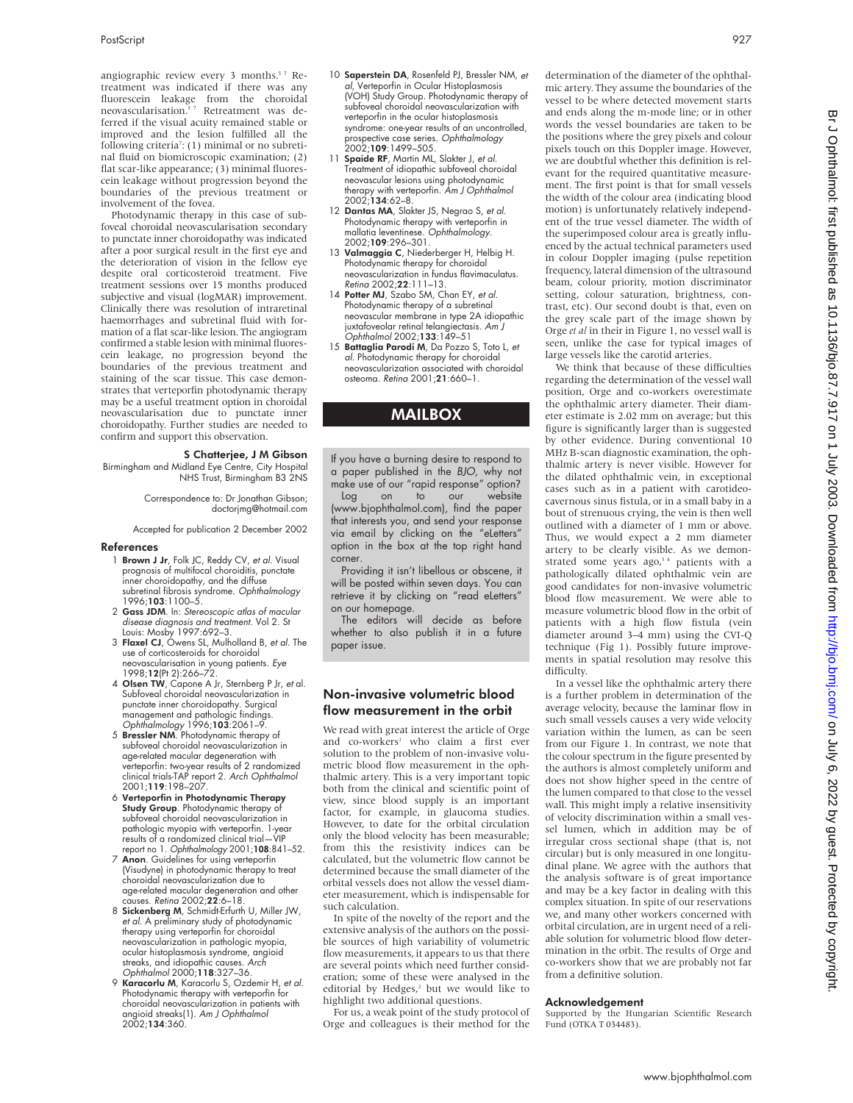angiographic review every 3 months.<sup>57</sup> Retreatment was indicated if there was any fluorescein leakage from the choroidal<br>neovascularisation.<sup>57</sup> Retreatment was deferred if the visual acuity remained stable or improved and the lesion fulfilled all the following criteria<sup>7</sup>: (1) minimal or no subretinal fluid on biomicroscopic examination; (2) flat scar-like appearance; (3) minimal fluorescein leakage without progression beyond the boundaries of the previous treatment or involvement of the fovea.

Photodynamic therapy in this case of subfoveal choroidal neovascularisation secondary to punctate inner choroidopathy was indicated after a poor surgical result in the first eye and the deterioration of vision in the fellow eye despite oral corticosteroid treatment. Five treatment sessions over 15 months produced subjective and visual (logMAR) improvement. Clinically there was resolution of intraretinal haemorrhages and subretinal fluid with formation of a flat scar-like lesion. The angiogram confirmed a stable lesion with minimal fluorescein leakage, no progression beyond the boundaries of the previous treatment and staining of the scar tissue. This case demonstrates that verteporfin photodynamic therapy may be a useful treatment option in choroidal neovascularisation due to punctate inner choroidopathy. Further studies are needed to confirm and support this observation.

#### S Chatterjee, J M Gibson

Birmingham and Midland Eye Centre, City Hospital NHS Trust, Birmingham B3 2NS

Correspondence to: Dr Jonathan Gibson; doctorjmg@hotmail.com

Accepted for publication 2 December 2002

#### References

- 1 Brown J Jr, Folk JC, Reddy CV, et al. Visual prognosis of multifocal choroiditis, punctate inner choroidopathy, and the diffuse subretinal fibrosis syndrome. Ophthalmology 1996;103:1100–5.
- 2 Gass JDM. In: Stereoscopic atlas of macular disease diagnosis and treatment. Vol 2. St Louis: Mosby 1997:692–3.
- 3 Flaxel CJ, Owens SL, Mulholland B, et al. The use of corticosteroids for choroidal neovascularisation in young patients. Eye 1998;12(Pt 2):266–72.
- 4 Olsen TW, Capone A Jr, Sternberg P Jr, et al. Subfoveal choroidal neovascularization in punctate inner choroidopathy. Surgical management and pathologic findings. Ophthalmology 1996;103:2061–9.
- 5 Bressler NM. Photodynamic therapy of subfoveal choroidal neovascularization in age-related macular degeneration with verteporfin: two-year results of 2 randomized clinical trials-TAP report 2. Arch Ophthalmol 2001;119:198–207.
- 6 Verteporfin in Photodynamic Therapy Study Group. Photodynamic therapy of subfoveal choroidal neovascularization in pathologic myopia with verteporfin. 1-year results of a randomized clinical trial—VIP report no 1. Ophthalmology 2001;108:841–52.
- 7 Anon. Guidelines for using verteporfin (Visudyne) in photodynamic therapy to treat choroidal neovascularization due to age-related macular degeneration and other causes. Retina 2002;22:6–18.
- 8 Sickenberg M, Schmidt-Erfurth U, Miller JW, et al. A preliminary study of photodynamic therapy using verteporfin for choroidal neovascularization in pathologic myopia, ocular histoplasmosis syndrome, angioid streaks, and idiopathic causes. Arch Ophthalmol 2000;118:327–36.
- 9 Karacorlu M, Karacorlu S, Ozdemir H, et al. Photodynamic therapy with verteporfin for choroidal neovascularization in patients with angioid streaks(1). Am J Ophthalmol 2002;134:360.
- 10 Saperstein DA, Rosenfeld PJ, Bressler NM, et al, Verteporfin in Ocular Histoplasmosis (VOH) Study Group. Photodynamic therapy of subfoveal choroidal neovascularization with verteporfin in the ocular histoplasmosis syndrome: one-year results of an uncontrolled, prospective case series. *Ophthalmology*<br>2002;**109**:1499–505.
- 11 Spaide RF, Martin ML, Slakter J, et al. Treatment of idiopathic subfoveal choroidal neovascular lesions using photodynamic therapy with verteporfin. Am J Ophthalmol  $2002 \cdot 134 \cdot 62 - 8$
- 12 Dantas MA, Slakter JS, Negrao S, et al. Photodynamic therapy with verteporfin in<br>mallatia leventinese. *Ophthalmology*. 2002;109:296–301.
- 13 Valmaggia C, Niederberger H, Helbig H. Photodynamic therapy for choroidal neovascularization in fundus flavimaculatus. Retina 2002;22:111–13.
- 14 Potter MJ, Szabo SM, Chan EY, et al. Photodynamic therapy of a subretinal neovascular membrane in type 2A idiopathic juxtafoveolar retinal telangiectasis. Am J Ophthalmol 2002;133:149–51
- 15 Battaglia Parodi M, Da Pozzo S, Toto L, et al. Photodynamic therapy for choroidal neovascularization associated with choroidal osteoma. Retina 2001;21:660–1.

## MAILBOX

If you have a burning desire to respond to a paper published in the BJO, why not

make use of our "rapid response" option?<br>Log on to our website Log on to our website (www.bjophthalmol.com), find the paper that interests you, and send your response via email by clicking on the "eLetters" option in the box at the top right hand corner.

Providing it isn't libellous or obscene, it will be posted within seven days. You can retrieve it by clicking on "read eLetters" on our homepage.

The editors will decide as before whether to also publish it in a future paper issue.

## Non-invasive volumetric blood flow measurement in the orbit

We read with great interest the article of Orge and co-workers<sup>1</sup> who claim a first ever solution to the problem of non-invasive volumetric blood flow measurement in the ophthalmic artery. This is a very important topic both from the clinical and scientific point of view, since blood supply is an important factor, for example, in glaucoma studies. However, to date for the orbital circulation only the blood velocity has been measurable; from this the resistivity indices can be calculated, but the volumetric flow cannot be determined because the small diameter of the orbital vessels does not allow the vessel diameter measurement, which is indispensable for such calculation.

In spite of the novelty of the report and the extensive analysis of the authors on the possible sources of high variability of volumetric flow measurements, it appears to us that there are several points which need further consideration; some of these were analysed in the editorial by Hedges,<sup>2</sup> but we would like to highlight two additional questions.

For us, a weak point of the study protocol of Orge and colleagues is their method for the determination of the diameter of the ophthalmic artery. They assume the boundaries of the vessel to be where detected movement starts and ends along the m-mode line; or in other words the vessel boundaries are taken to be the positions where the grey pixels and colour pixels touch on this Doppler image. However, we are doubtful whether this definition is relevant for the required quantitative measurement. The first point is that for small vessels the width of the colour area (indicating blood motion) is unfortunately relatively independent of the true vessel diameter. The width of the superimposed colour area is greatly influenced by the actual technical parameters used in colour Doppler imaging (pulse repetition frequency, lateral dimension of the ultrasound beam, colour priority, motion discriminator setting, colour saturation, brightness, contrast, etc). Our second doubt is that, even on the grey scale part of the image shown by Orge *et al* in their in Figure 1, no vessel wall is seen, unlike the case for typical images of large vessels like the carotid arteries.

We think that because of these difficulties regarding the determination of the vessel wall position, Orge and co-workers overestimate the ophthalmic artery diameter. Their diameter estimate is 2.02 mm on average; but this figure is significantly larger than is suggested by other evidence. During conventional 10 MHz B-scan diagnostic examination, the ophthalmic artery is never visible. However for the dilated ophthalmic vein, in exceptional cases such as in a patient with carotideocavernous sinus fistula, or in a small baby in a bout of strenuous crying, the vein is then well outlined with a diameter of 1 mm or above. Thus, we would expect a 2 mm diameter artery to be clearly visible. As we demonstrated some years  $ago<sup>34</sup>$  patients with a pathologically dilated ophthalmic vein are good candidates for non-invasive volumetric blood flow measurement. We were able to measure volumetric blood flow in the orbit of patients with a high flow fistula (vein diameter around 3–4 mm) using the CVI-Q technique (Fig 1). Possibly future improvements in spatial resolution may resolve this difficulty.

In a vessel like the ophthalmic artery there is a further problem in determination of the average velocity, because the laminar flow in such small vessels causes a very wide velocity variation within the lumen, as can be seen from our Figure 1. In contrast, we note that the colour spectrum in the figure presented by the authors is almost completely uniform and does not show higher speed in the centre of the lumen compared to that close to the vessel wall. This might imply a relative insensitivity of velocity discrimination within a small vessel lumen, which in addition may be of irregular cross sectional shape (that is, not circular) but is only measured in one longitudinal plane. We agree with the authors that the analysis software is of great importance and may be a key factor in dealing with this complex situation. In spite of our reservations we, and many other workers concerned with orbital circulation, are in urgent need of a reliable solution for volumetric blood flow determination in the orbit. The results of Orge and co-workers show that we are probably not far from a definitive solution.

## Acknowledgement

Supported by the Hungarian Scientific Research Fund (OTKA T 034483).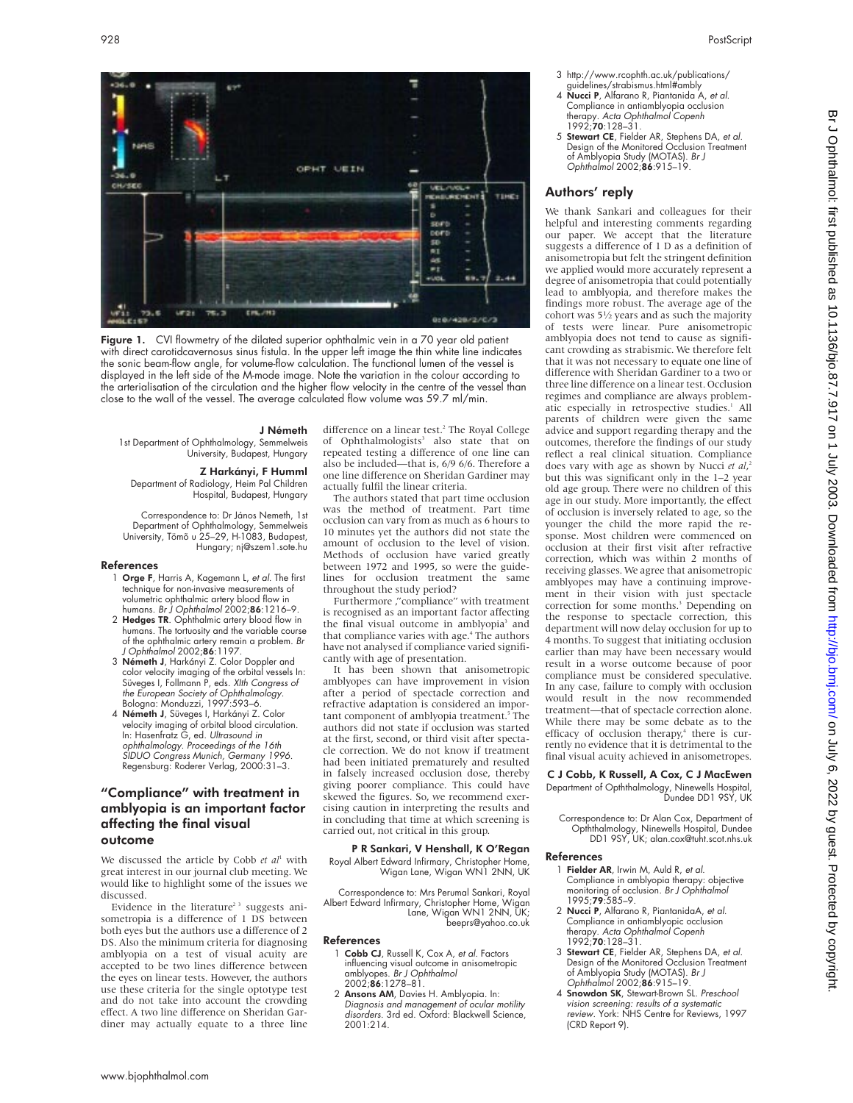

- 4 Nucci P, Alfarano R, Piantanida A, et al. Compliance in antiamblyopia occlusion therapy. Acta Ophthalmol Copenh<br>1992;**70**:128–31.
- 5 Stewart CE, Fielder AR, Stephens DA, et al. Design of the Monitored Occlusion Treatment of Amblyopia Study (MOTAS). Br J Ophthalmol 2002;86:915–19.

## Authors' reply

We thank Sankari and colleagues for their helpful and interesting comments regarding our paper. We accept that the literature suggests a difference of 1 D as a definition of anisometropia but felt the stringent definition we applied would more accurately represent a degree of anisometropia that could potentially lead to amblyopia, and therefore makes the findings more robust. The average age of the cohort was 51⁄2 years and as such the majority of tests were linear. Pure anisometropic amblyopia does not tend to cause as significant crowding as strabismic. We therefore felt that it was not necessary to equate one line of difference with Sheridan Gardiner to a two or three line difference on a linear test. Occlusion regimes and compliance are always problematic especially in retrospective studies.<sup>1</sup> All parents of children were given the same advice and support regarding therapy and the outcomes, therefore the findings of our study reflect a real clinical situation. Compliance does vary with age as shown by Nucci *et al*,<sup>2</sup><br>but this was significant only in the 1–2 year but this was significant only in the 1–2 year old age group. There were no children of this age in our study. More importantly, the effect of occlusion is inversely related to age, so the younger the child the more rapid the response. Most children were commenced on occlusion at their first visit after refractive correction, which was within 2 months of receiving glasses. We agree that anisometropic amblyopes may have a continuing improvement in their vision with just spectacle correction for some months.<sup>3</sup> Depending on the response to spectacle correction, this department will now delay occlusion for up to 4 months. To suggest that initiating occlusion earlier than may have been necessary would result in a worse outcome because of poor compliance must be considered speculative. In any case, failure to comply with occlusion would result in the now recommended treatment—that of spectacle correction alone. While there may be some debate as to the efficacy of occlusion therapy,<sup>4</sup> there is currently no evidence that it is detrimental to the final visual acuity achieved in anisometropes.

- Correspondence to: Dr Alan Cox, Department of
- Opththalmology, Ninewells Hospital, Dundee DD1 9SY, UK; alan.cox@tuht.scot.nhs.uk

## References

- 
- 2 Nucci P, Alfarano R, PiantanidaA, et al.
- of Amblyopia Study (MOTAS). Br J Ophthalmol 2002;86:915–19.
- vision screening: results of <sup>a</sup> systematic (CRD Report 9).



Figure 1. CVI flowmetry of the dilated superior ophthalmic vein in a 70 year old patient with direct carotidcavernosus sinus fistula. In the upper left image the thin white line indicates the sonic beam-flow angle, for volume-flow calculation. The functional lumen of the vessel is displayed in the left side of the M-mode image. Note the variation in the colour according to the arterialisation of the circulation and the higher flow velocity in the centre of the vessel than close to the wall of the vessel. The average calculated flow volume was 59.7 ml/min.

#### J Németh

1st Department of Ophthalmology, Semmelweis University, Budapest, Hungary

#### Z Harkányi, F Humml Department of Radiology, Heim Pal Children

Hospital, Budapest, Hungary

Correspondence to: Dr János Nemeth, 1st Department of Ophthalmology, Semmelweis University, Tömõ u 25–29, H-1083, Budapest, Hungary; nj@szem1.sote.hu

#### References

- 1 Orge F, Harris A, Kagemann L, et al. The first technique for non-invasive measurements of volumetric ophthalmic artery blood flow in humans. Br J Ophthalmol 2002;86:1216-9.
- 2 Hedges TR. Ophthalmic artery blood flow in humans. The tortuosity and the variable course of the ophthalmic artery remain a problem. Br J Ophthalmol 2002;86:1197.
- 3 Németh J, Harkányi Z. Color Doppler and color velocity imaging of the orbital vessels In: Süveges I, Follmann P, eds. XIth Congress of the European Society of Ophthalmology. Bologna: Monduzzi, 1997:593–6.
- 4 Németh J, Süveges I, Harkányi Z. Color velocity imaging of orbital blood circulation.<br>In: Hasenfratz G, ed. *Ultrasound in* ophthalmology. Proceedings of the 16th SIDUO Congress Munich, Germany 1996. Regensburg: Roderer Verlag, 2000:31–3.

## "Compliance" with treatment in amblyopia is an important factor affecting the final visual outcome

We discussed the article by Cobb et al<sup>1</sup> with great interest in our journal club meeting. We would like to highlight some of the issues we discussed.

Evidence in the literature<sup>23</sup> suggests anisometropia is a difference of 1 DS between both eyes but the authors use a difference of 2 DS. Also the minimum criteria for diagnosing amblyopia on a test of visual acuity are accepted to be two lines difference between the eyes on linear tests. However, the authors use these criteria for the single optotype test and do not take into account the crowding effect. A two line difference on Sheridan Gardiner may actually equate to a three line

difference on a linear test.<sup>2</sup> The Royal College of Ophthalmologists<sup>3</sup> also state that on repeated testing a difference of one line can also be included—that is, 6/9 6/6. Therefore a one line difference on Sheridan Gardiner may actually fulfil the linear criteria.

The authors stated that part time occlusion was the method of treatment. Part time occlusion can vary from as much as 6 hours to 10 minutes yet the authors did not state the amount of occlusion to the level of vision. Methods of occlusion have varied greatly between 1972 and 1995, so were the guidelines for occlusion treatment the same throughout the study period?

Furthermore ,"compliance" with treatment is recognised as an important factor affecting the final visual outcome in amblyopia<sup>3</sup> and that compliance varies with age.<sup>4</sup> The authors have not analysed if compliance varied significantly with age of presentation.

It has been shown that anisometropic amblyopes can have improvement in vision after a period of spectacle correction and refractive adaptation is considered an important component of amblyopia treatment.<sup>5</sup> The authors did not state if occlusion was started at the first, second, or third visit after spectacle correction. We do not know if treatment had been initiated prematurely and resulted in falsely increased occlusion dose, thereby giving poorer compliance. This could have skewed the figures. So, we recommend exercising caution in interpreting the results and in concluding that time at which screening is carried out, not critical in this group.

#### P R Sankari, V Henshall, K O'Regan Royal Albert Edward Infirmary, Christopher Home, Wigan Lane, Wigan WN1 2NN, UK

Correspondence to: Mrs Perumal Sankari, Royal Albert Edward Infirmary, Christopher Home, Wigan Lane, Wigan WN1 2NN, UK; beeprs@yahoo.co.uk

#### References

- 1 Cobb CJ, Russell K, Cox A, et al. Factors influencing visual outcome in anisometropic amblyopes. Br J Ophthalmol 2002;86:1278–81.
- 2 Ansons AM, Davies H. Amblyopia. In: Diagnosis and managemen<sup>t</sup> of ocular motility disorders. 3rd ed. Oxford: Blackwell Science, 2001:214.
- C J Cobb, K Russell, A Cox, C J MacEwen Department of Opththalmology, Ninewells Hospital, Dundee DD1 9SY, UK
- 

## 1 Fielder AR, Irwin M, Auld R, et al. Compliance in amblyopia therapy: objective<br>monitoring of occlusion. *Br J Ophthalmol*<br>1995;**79**:585–9.

- Compliance in antiamblyopic occlusion<br>therapy. *Acta Ophthalmol Copenh*<br>1992;**70**:128–31. 3 Stewart CE, Fielder AR, Stephens DA, et al.
- Design of the Monitored Occlusion Treatment
- 4 Snowdon SK, Stewart-Brown SL. Preschool review. York: NHS Centre for Reviews, 1997